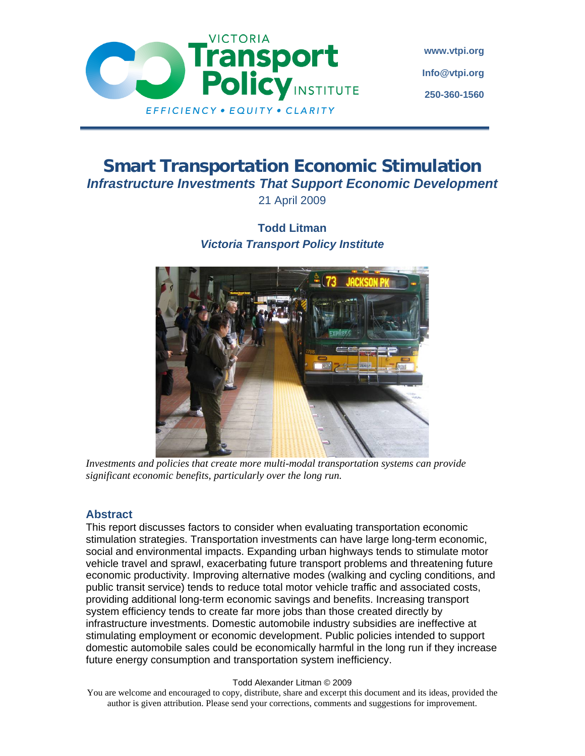

**www.vtpi.org Info@vtpi.org 250-360-1560** 

# **Smart Transportation Economic Stimulation**  *Infrastructure Investments That Support Economic Development*  21 April 2009

# **Todd Litman**  *Victoria Transport Policy Institute*



*Investments and policies that create more multi-modal transportation systems can provide significant economic benefits, particularly over the long run.* 

### **Abstract**

This report discusses factors to consider when evaluating transportation economic stimulation strategies. Transportation investments can have large long-term economic, social and environmental impacts. Expanding urban highways tends to stimulate motor vehicle travel and sprawl, exacerbating future transport problems and threatening future economic productivity. Improving alternative modes (walking and cycling conditions, and public transit service) tends to reduce total motor vehicle traffic and associated costs, providing additional long-term economic savings and benefits. Increasing transport system efficiency tends to create far more jobs than those created directly by infrastructure investments. Domestic automobile industry subsidies are ineffective at stimulating employment or economic development. Public policies intended to support domestic automobile sales could be economically harmful in the long run if they increase future energy consumption and transportation system inefficiency.

#### Todd Alexander Litman © 2009

You are welcome and encouraged to copy, distribute, share and excerpt this document and its ideas, provided the author is given attribution. Please send your corrections, comments and suggestions for improvement.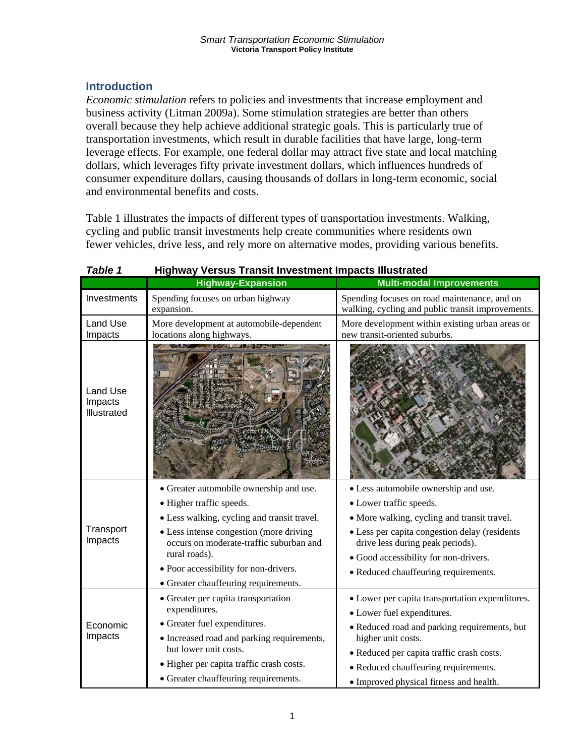## **Introduction**

*Economic stimulation* refers to policies and investments that increase employment and business activity (Litman 2009a). Some stimulation strategies are better than others overall because they help achieve additional strategic goals. This is particularly true of transportation investments, which result in durable facilities that have large, long-term leverage effects. For example, one federal dollar may attract five state and local matching dollars, which leverages fifty private investment dollars, which influences hundreds of consumer expenditure dollars, causing thousands of dollars in long-term economic, social and environmental benefits and costs.

Table 1 illustrates the impacts of different types of transportation investments. Walking, cycling and public transit investments help create communities where residents own fewer vehicles, drive less, and rely more on alternative modes, providing various benefits.

|                                    | <b>Highway-Expansion</b>                                                           | <b>Multi-modal Improvements</b>                                                                   |
|------------------------------------|------------------------------------------------------------------------------------|---------------------------------------------------------------------------------------------------|
| Investments                        | Spending focuses on urban highway<br>expansion.                                    | Spending focuses on road maintenance, and on<br>walking, cycling and public transit improvements. |
| <b>Land Use</b><br>Impacts         | More development at automobile-dependent<br>locations along highways.              | More development within existing urban areas or<br>new transit-oriented suburbs.                  |
| Land Use<br>Impacts<br>Illustrated |                                                                                    |                                                                                                   |
|                                    | • Greater automobile ownership and use.                                            | • Less automobile ownership and use.                                                              |
|                                    | • Higher traffic speeds.                                                           | • Lower traffic speeds.                                                                           |
|                                    | • Less walking, cycling and transit travel.                                        | · More walking, cycling and transit travel.                                                       |
| Transport<br>Impacts               | • Less intense congestion (more driving<br>occurs on moderate-traffic suburban and | • Less per capita congestion delay (residents<br>drive less during peak periods).                 |
|                                    | rural roads).                                                                      | · Good accessibility for non-drivers.                                                             |
|                                    | • Poor accessibility for non-drivers.                                              | • Reduced chauffeuring requirements.                                                              |
|                                    | • Greater chauffeuring requirements.                                               |                                                                                                   |
|                                    | • Greater per capita transportation                                                | • Lower per capita transportation expenditures.                                                   |
|                                    | expenditures.                                                                      | • Lower fuel expenditures.                                                                        |
| Economic                           | • Greater fuel expenditures.                                                       | • Reduced road and parking requirements, but                                                      |
| Impacts                            | · Increased road and parking requirements,<br>but lower unit costs.                | higher unit costs.                                                                                |
|                                    |                                                                                    | • Reduced per capita traffic crash costs.                                                         |
|                                    | • Higher per capita traffic crash costs.                                           | • Reduced chauffeuring requirements.                                                              |
|                                    | • Greater chauffeuring requirements.                                               | • Improved physical fitness and health.                                                           |

### *Table 1* **Highway Versus Transit Investment Impacts Illustrated**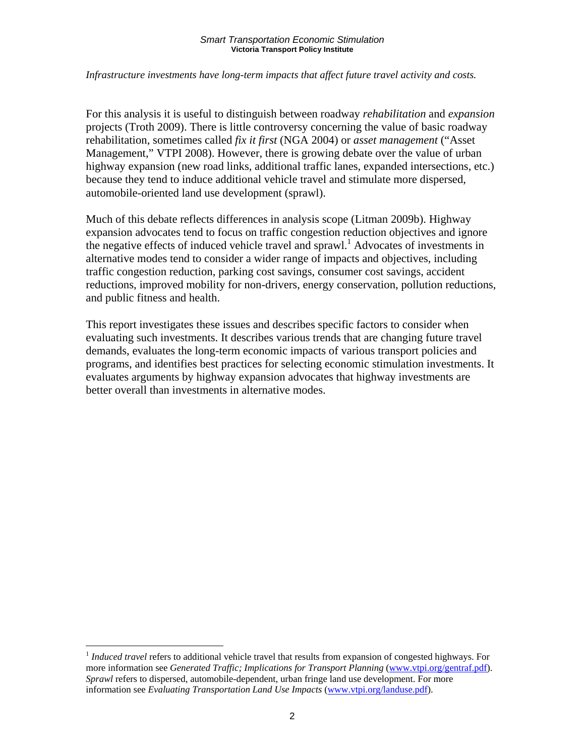### *Infrastructure investments have long-term impacts that affect future travel activity and costs.*

For this analysis it is useful to distinguish between roadway *rehabilitation* and *expansion* projects (Troth 2009). There is little controversy concerning the value of basic roadway rehabilitation, sometimes called *fix it first* (NGA 2004) or *asset management* ("Asset Management," VTPI 2008). However, there is growing debate over the value of urban highway expansion (new road links, additional traffic lanes, expanded intersections, etc.) because they tend to induce additional vehicle travel and stimulate more dispersed, automobile-oriented land use development (sprawl).

Much of this debate reflects differences in analysis scope (Litman 2009b). Highway expansion advocates tend to focus on traffic congestion reduction objectives and ignore the negative effects of induced vehicle travel and sprawl.<sup>1</sup> Advocates of investments in alternative modes tend to consider a wider range of impacts and objectives, including traffic congestion reduction, parking cost savings, consumer cost savings, accident reductions, improved mobility for non-drivers, energy conservation, pollution reductions, and public fitness and health.

This report investigates these issues and describes specific factors to consider when evaluating such investments. It describes various trends that are changing future travel demands, evaluates the long-term economic impacts of various transport policies and programs, and identifies best practices for selecting economic stimulation investments. It evaluates arguments by highway expansion advocates that highway investments are better overall than investments in alternative modes.

 $\overline{a}$ 

<sup>1</sup> *Induced travel* refers to additional vehicle travel that results from expansion of congested highways. For more information see *Generated Traffic; Implications for Transport Planning* (www.vtpi.org/gentraf.pdf). *Sprawl* refers to dispersed, automobile-dependent, urban fringe land use development. For more information see *Evaluating Transportation Land Use Impacts* (www.vtpi.org/landuse.pdf).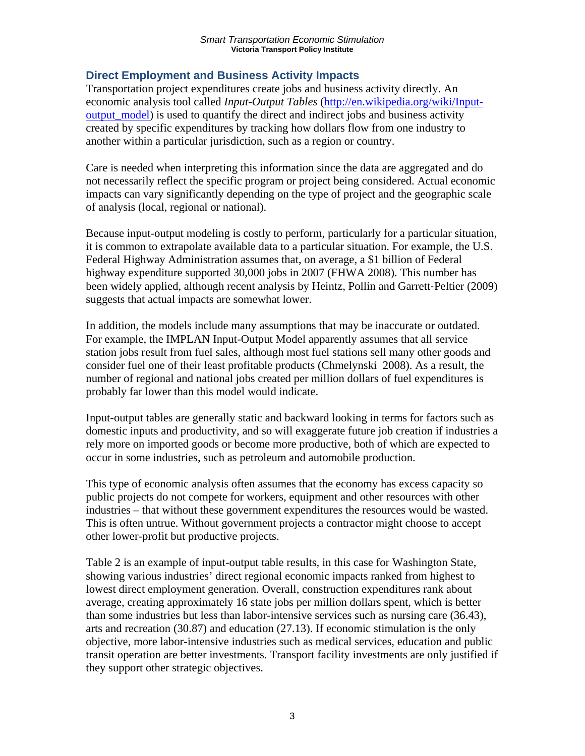## **Direct Employment and Business Activity Impacts**

Transportation project expenditures create jobs and business activity directly. An economic analysis tool called *Input-Output Tables* (http://en.wikipedia.org/wiki/Inputoutput model) is used to quantify the direct and indirect jobs and business activity created by specific expenditures by tracking how dollars flow from one industry to another within a particular jurisdiction, such as a region or country.

Care is needed when interpreting this information since the data are aggregated and do not necessarily reflect the specific program or project being considered. Actual economic impacts can vary significantly depending on the type of project and the geographic scale of analysis (local, regional or national).

Because input-output modeling is costly to perform, particularly for a particular situation, it is common to extrapolate available data to a particular situation. For example, the U.S. Federal Highway Administration assumes that, on average, a \$1 billion of Federal highway expenditure supported 30,000 jobs in 2007 (FHWA 2008). This number has been widely applied, although recent analysis by Heintz, Pollin and Garrett-Peltier (2009) suggests that actual impacts are somewhat lower.

In addition, the models include many assumptions that may be inaccurate or outdated. For example, the IMPLAN Input-Output Model apparently assumes that all service station jobs result from fuel sales, although most fuel stations sell many other goods and consider fuel one of their least profitable products (Chmelynski 2008). As a result, the number of regional and national jobs created per million dollars of fuel expenditures is probably far lower than this model would indicate.

Input-output tables are generally static and backward looking in terms for factors such as domestic inputs and productivity, and so will exaggerate future job creation if industries a rely more on imported goods or become more productive, both of which are expected to occur in some industries, such as petroleum and automobile production.

This type of economic analysis often assumes that the economy has excess capacity so public projects do not compete for workers, equipment and other resources with other industries – that without these government expenditures the resources would be wasted. This is often untrue. Without government projects a contractor might choose to accept other lower-profit but productive projects.

Table 2 is an example of input-output table results, in this case for Washington State, showing various industries' direct regional economic impacts ranked from highest to lowest direct employment generation. Overall, construction expenditures rank about average, creating approximately 16 state jobs per million dollars spent, which is better than some industries but less than labor-intensive services such as nursing care (36.43), arts and recreation (30.87) and education (27.13). If economic stimulation is the only objective, more labor-intensive industries such as medical services, education and public transit operation are better investments. Transport facility investments are only justified if they support other strategic objectives.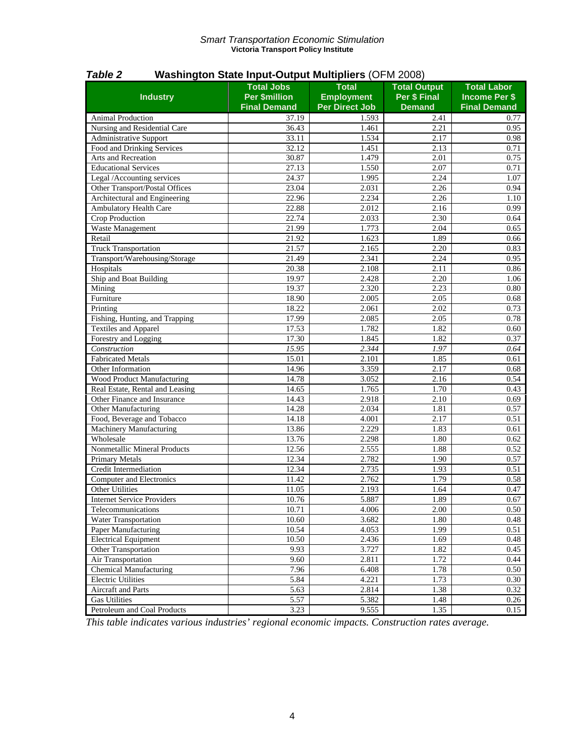| Per \$ Final<br><b>Per \$million</b><br><b>Employment</b><br><b>Industry</b><br><b>Income Per \$</b><br><b>Per Direct Job</b><br><b>Final Demand</b><br><b>Demand</b><br><b>Final Demand</b><br><b>Animal Production</b><br>37.19<br>1.593<br>2.41<br>0.77<br>36.43<br>$\overline{2.21}$<br>Nursing and Residential Care<br>1.461<br>0.95<br>33.11<br>1.534<br>2.17<br>Administrative Support<br>0.98<br>Food and Drinking Services<br>32.12<br>1.451<br>2.13<br>0.71<br>Arts and Recreation<br>30.87<br>1.479<br>2.01<br>0.75<br>27.13<br><b>Educational Services</b><br>1.550<br>2.07<br>0.71<br>24.37<br>2.24<br>Legal /Accounting services<br>1.995<br>1.07<br>Other Transport/Postal Offices<br>23.04<br>2.26<br>2.031<br>0.94<br>Architectural and Engineering<br>22.96<br>2.234<br>2.26<br>1.10<br><b>Ambulatory Health Care</b><br>22.88<br>2.012<br>2.16<br>0.99<br><b>Crop Production</b><br>22.74<br>2.033<br>2.30<br>0.64<br>Waste Management<br>21.99<br>1.773<br>2.04<br>0.65<br>Retail<br>1.623<br>21.92<br>1.89<br>0.66<br><b>Truck Transportation</b><br>$\overline{21.57}$<br>2.20<br>2.165<br>0.83<br>Transport/Warehousing/Storage<br>2.24<br>21.49<br>2.341<br>0.95<br>Hospitals<br>20.38<br>2.108<br>2.11<br>0.86<br>Ship and Boat Building<br>19.97<br>2.428<br>2.20<br>1.06<br>Mining<br>19.37<br>2.320<br>2.23<br>0.80<br>Furniture<br>18.90<br>2.005<br>2.05<br>0.68<br>18.22<br>2.061<br>2.02<br>Printing<br>0.73<br>Fishing, Hunting, and Trapping<br>17.99<br>2.085<br>2.05<br>0.78<br><b>Textiles and Apparel</b><br>17.53<br>1.782<br>1.82<br>0.60<br>Forestry and Logging<br>17.30<br>1.82<br>1.845<br>0.37<br>15.95<br>Construction<br>2.344<br>1.97<br>0.64<br><b>Fabricated Metals</b><br>15.01<br>2.101<br>1.85<br>0.61<br>2.17<br>14.96<br>3.359<br>Other Information<br>0.68<br>14.78<br>3.052<br>Wood Product Manufacturing<br>2.16<br>0.54<br>14.65<br>1.765<br>1.70<br>0.43<br>Real Estate, Rental and Leasing<br>Other Finance and Insurance<br>14.43<br>2.918<br>2.10<br>0.69<br>14.28<br>2.034<br>1.81<br>Other Manufacturing<br>0.57<br>Food, Beverage and Tobacco<br>14.18<br>4.001<br>2.17<br>0.51<br>Machinery Manufacturing<br>13.86<br>2.229<br>1.83<br>0.61<br>Wholesale<br>13.76<br>2.298<br>1.80<br>0.62<br>Nonmetallic Mineral Products<br>12.56<br>1.88<br>2.555<br>0.52<br>12.34<br>Primary Metals<br>2.782<br>1.90<br>0.57<br>12.34<br>Credit Intermediation<br>2.735<br>1.93<br>0.51<br><b>Computer and Electronics</b><br>11.42<br>2.762<br>1.79<br>0.58<br>Other Utilities<br>11.05<br>2.193<br>1.64<br>0.47<br><b>Internet Service Providers</b><br>10.76<br>5.887<br>1.89<br>0.67<br>10.71<br>4.006<br>2.00<br>Telecommunications<br>0.50<br>Water Transportation<br>10.60<br>3.682<br>1.80<br>0.48<br>Paper Manufacturing<br>10.54<br>4.053<br>1.99<br>0.51<br><b>Electrical Equipment</b><br>10.50<br>2.436<br>1.69<br>0.48<br>Other Transportation<br>9.93<br>3.727<br>1.82<br>0.45<br>Air Transportation<br>9.60<br>2.811<br>1.72<br>0.44<br><b>Chemical Manufacturing</b><br>7.96<br>1.78<br>6.408<br>0.50<br><b>Electric Utilities</b><br>5.84<br>4.221<br>1.73<br>0.30<br><b>Aircraft</b> and Parts<br>2.814<br>5.63<br>1.38<br>0.32<br><b>Gas Utilities</b><br>5.57<br>5.382<br>1.48<br>0.26 | I UNIC L                    |                   |              |                     |                    |
|--------------------------------------------------------------------------------------------------------------------------------------------------------------------------------------------------------------------------------------------------------------------------------------------------------------------------------------------------------------------------------------------------------------------------------------------------------------------------------------------------------------------------------------------------------------------------------------------------------------------------------------------------------------------------------------------------------------------------------------------------------------------------------------------------------------------------------------------------------------------------------------------------------------------------------------------------------------------------------------------------------------------------------------------------------------------------------------------------------------------------------------------------------------------------------------------------------------------------------------------------------------------------------------------------------------------------------------------------------------------------------------------------------------------------------------------------------------------------------------------------------------------------------------------------------------------------------------------------------------------------------------------------------------------------------------------------------------------------------------------------------------------------------------------------------------------------------------------------------------------------------------------------------------------------------------------------------------------------------------------------------------------------------------------------------------------------------------------------------------------------------------------------------------------------------------------------------------------------------------------------------------------------------------------------------------------------------------------------------------------------------------------------------------------------------------------------------------------------------------------------------------------------------------------------------------------------------------------------------------------------------------------------------------------------------------------------------------------------------------------------------------------------------------------------------------------------------------------------------------------------------------------------------------------------------------------------------------------------------------------------------------------------------------------------------------------------------------------------------------------------------------------------------------------------------------------------------------------------------------------------------------------|-----------------------------|-------------------|--------------|---------------------|--------------------|
|                                                                                                                                                                                                                                                                                                                                                                                                                                                                                                                                                                                                                                                                                                                                                                                                                                                                                                                                                                                                                                                                                                                                                                                                                                                                                                                                                                                                                                                                                                                                                                                                                                                                                                                                                                                                                                                                                                                                                                                                                                                                                                                                                                                                                                                                                                                                                                                                                                                                                                                                                                                                                                                                                                                                                                                                                                                                                                                                                                                                                                                                                                                                                                                                                                                                    |                             | <b>Total Jobs</b> | <b>Total</b> | <b>Total Output</b> | <b>Total Labor</b> |
|                                                                                                                                                                                                                                                                                                                                                                                                                                                                                                                                                                                                                                                                                                                                                                                                                                                                                                                                                                                                                                                                                                                                                                                                                                                                                                                                                                                                                                                                                                                                                                                                                                                                                                                                                                                                                                                                                                                                                                                                                                                                                                                                                                                                                                                                                                                                                                                                                                                                                                                                                                                                                                                                                                                                                                                                                                                                                                                                                                                                                                                                                                                                                                                                                                                                    |                             |                   |              |                     |                    |
|                                                                                                                                                                                                                                                                                                                                                                                                                                                                                                                                                                                                                                                                                                                                                                                                                                                                                                                                                                                                                                                                                                                                                                                                                                                                                                                                                                                                                                                                                                                                                                                                                                                                                                                                                                                                                                                                                                                                                                                                                                                                                                                                                                                                                                                                                                                                                                                                                                                                                                                                                                                                                                                                                                                                                                                                                                                                                                                                                                                                                                                                                                                                                                                                                                                                    |                             |                   |              |                     |                    |
|                                                                                                                                                                                                                                                                                                                                                                                                                                                                                                                                                                                                                                                                                                                                                                                                                                                                                                                                                                                                                                                                                                                                                                                                                                                                                                                                                                                                                                                                                                                                                                                                                                                                                                                                                                                                                                                                                                                                                                                                                                                                                                                                                                                                                                                                                                                                                                                                                                                                                                                                                                                                                                                                                                                                                                                                                                                                                                                                                                                                                                                                                                                                                                                                                                                                    |                             |                   |              |                     |                    |
|                                                                                                                                                                                                                                                                                                                                                                                                                                                                                                                                                                                                                                                                                                                                                                                                                                                                                                                                                                                                                                                                                                                                                                                                                                                                                                                                                                                                                                                                                                                                                                                                                                                                                                                                                                                                                                                                                                                                                                                                                                                                                                                                                                                                                                                                                                                                                                                                                                                                                                                                                                                                                                                                                                                                                                                                                                                                                                                                                                                                                                                                                                                                                                                                                                                                    |                             |                   |              |                     |                    |
|                                                                                                                                                                                                                                                                                                                                                                                                                                                                                                                                                                                                                                                                                                                                                                                                                                                                                                                                                                                                                                                                                                                                                                                                                                                                                                                                                                                                                                                                                                                                                                                                                                                                                                                                                                                                                                                                                                                                                                                                                                                                                                                                                                                                                                                                                                                                                                                                                                                                                                                                                                                                                                                                                                                                                                                                                                                                                                                                                                                                                                                                                                                                                                                                                                                                    |                             |                   |              |                     |                    |
|                                                                                                                                                                                                                                                                                                                                                                                                                                                                                                                                                                                                                                                                                                                                                                                                                                                                                                                                                                                                                                                                                                                                                                                                                                                                                                                                                                                                                                                                                                                                                                                                                                                                                                                                                                                                                                                                                                                                                                                                                                                                                                                                                                                                                                                                                                                                                                                                                                                                                                                                                                                                                                                                                                                                                                                                                                                                                                                                                                                                                                                                                                                                                                                                                                                                    |                             |                   |              |                     |                    |
|                                                                                                                                                                                                                                                                                                                                                                                                                                                                                                                                                                                                                                                                                                                                                                                                                                                                                                                                                                                                                                                                                                                                                                                                                                                                                                                                                                                                                                                                                                                                                                                                                                                                                                                                                                                                                                                                                                                                                                                                                                                                                                                                                                                                                                                                                                                                                                                                                                                                                                                                                                                                                                                                                                                                                                                                                                                                                                                                                                                                                                                                                                                                                                                                                                                                    |                             |                   |              |                     |                    |
|                                                                                                                                                                                                                                                                                                                                                                                                                                                                                                                                                                                                                                                                                                                                                                                                                                                                                                                                                                                                                                                                                                                                                                                                                                                                                                                                                                                                                                                                                                                                                                                                                                                                                                                                                                                                                                                                                                                                                                                                                                                                                                                                                                                                                                                                                                                                                                                                                                                                                                                                                                                                                                                                                                                                                                                                                                                                                                                                                                                                                                                                                                                                                                                                                                                                    |                             |                   |              |                     |                    |
|                                                                                                                                                                                                                                                                                                                                                                                                                                                                                                                                                                                                                                                                                                                                                                                                                                                                                                                                                                                                                                                                                                                                                                                                                                                                                                                                                                                                                                                                                                                                                                                                                                                                                                                                                                                                                                                                                                                                                                                                                                                                                                                                                                                                                                                                                                                                                                                                                                                                                                                                                                                                                                                                                                                                                                                                                                                                                                                                                                                                                                                                                                                                                                                                                                                                    |                             |                   |              |                     |                    |
|                                                                                                                                                                                                                                                                                                                                                                                                                                                                                                                                                                                                                                                                                                                                                                                                                                                                                                                                                                                                                                                                                                                                                                                                                                                                                                                                                                                                                                                                                                                                                                                                                                                                                                                                                                                                                                                                                                                                                                                                                                                                                                                                                                                                                                                                                                                                                                                                                                                                                                                                                                                                                                                                                                                                                                                                                                                                                                                                                                                                                                                                                                                                                                                                                                                                    |                             |                   |              |                     |                    |
|                                                                                                                                                                                                                                                                                                                                                                                                                                                                                                                                                                                                                                                                                                                                                                                                                                                                                                                                                                                                                                                                                                                                                                                                                                                                                                                                                                                                                                                                                                                                                                                                                                                                                                                                                                                                                                                                                                                                                                                                                                                                                                                                                                                                                                                                                                                                                                                                                                                                                                                                                                                                                                                                                                                                                                                                                                                                                                                                                                                                                                                                                                                                                                                                                                                                    |                             |                   |              |                     |                    |
|                                                                                                                                                                                                                                                                                                                                                                                                                                                                                                                                                                                                                                                                                                                                                                                                                                                                                                                                                                                                                                                                                                                                                                                                                                                                                                                                                                                                                                                                                                                                                                                                                                                                                                                                                                                                                                                                                                                                                                                                                                                                                                                                                                                                                                                                                                                                                                                                                                                                                                                                                                                                                                                                                                                                                                                                                                                                                                                                                                                                                                                                                                                                                                                                                                                                    |                             |                   |              |                     |                    |
|                                                                                                                                                                                                                                                                                                                                                                                                                                                                                                                                                                                                                                                                                                                                                                                                                                                                                                                                                                                                                                                                                                                                                                                                                                                                                                                                                                                                                                                                                                                                                                                                                                                                                                                                                                                                                                                                                                                                                                                                                                                                                                                                                                                                                                                                                                                                                                                                                                                                                                                                                                                                                                                                                                                                                                                                                                                                                                                                                                                                                                                                                                                                                                                                                                                                    |                             |                   |              |                     |                    |
|                                                                                                                                                                                                                                                                                                                                                                                                                                                                                                                                                                                                                                                                                                                                                                                                                                                                                                                                                                                                                                                                                                                                                                                                                                                                                                                                                                                                                                                                                                                                                                                                                                                                                                                                                                                                                                                                                                                                                                                                                                                                                                                                                                                                                                                                                                                                                                                                                                                                                                                                                                                                                                                                                                                                                                                                                                                                                                                                                                                                                                                                                                                                                                                                                                                                    |                             |                   |              |                     |                    |
|                                                                                                                                                                                                                                                                                                                                                                                                                                                                                                                                                                                                                                                                                                                                                                                                                                                                                                                                                                                                                                                                                                                                                                                                                                                                                                                                                                                                                                                                                                                                                                                                                                                                                                                                                                                                                                                                                                                                                                                                                                                                                                                                                                                                                                                                                                                                                                                                                                                                                                                                                                                                                                                                                                                                                                                                                                                                                                                                                                                                                                                                                                                                                                                                                                                                    |                             |                   |              |                     |                    |
|                                                                                                                                                                                                                                                                                                                                                                                                                                                                                                                                                                                                                                                                                                                                                                                                                                                                                                                                                                                                                                                                                                                                                                                                                                                                                                                                                                                                                                                                                                                                                                                                                                                                                                                                                                                                                                                                                                                                                                                                                                                                                                                                                                                                                                                                                                                                                                                                                                                                                                                                                                                                                                                                                                                                                                                                                                                                                                                                                                                                                                                                                                                                                                                                                                                                    |                             |                   |              |                     |                    |
|                                                                                                                                                                                                                                                                                                                                                                                                                                                                                                                                                                                                                                                                                                                                                                                                                                                                                                                                                                                                                                                                                                                                                                                                                                                                                                                                                                                                                                                                                                                                                                                                                                                                                                                                                                                                                                                                                                                                                                                                                                                                                                                                                                                                                                                                                                                                                                                                                                                                                                                                                                                                                                                                                                                                                                                                                                                                                                                                                                                                                                                                                                                                                                                                                                                                    |                             |                   |              |                     |                    |
|                                                                                                                                                                                                                                                                                                                                                                                                                                                                                                                                                                                                                                                                                                                                                                                                                                                                                                                                                                                                                                                                                                                                                                                                                                                                                                                                                                                                                                                                                                                                                                                                                                                                                                                                                                                                                                                                                                                                                                                                                                                                                                                                                                                                                                                                                                                                                                                                                                                                                                                                                                                                                                                                                                                                                                                                                                                                                                                                                                                                                                                                                                                                                                                                                                                                    |                             |                   |              |                     |                    |
|                                                                                                                                                                                                                                                                                                                                                                                                                                                                                                                                                                                                                                                                                                                                                                                                                                                                                                                                                                                                                                                                                                                                                                                                                                                                                                                                                                                                                                                                                                                                                                                                                                                                                                                                                                                                                                                                                                                                                                                                                                                                                                                                                                                                                                                                                                                                                                                                                                                                                                                                                                                                                                                                                                                                                                                                                                                                                                                                                                                                                                                                                                                                                                                                                                                                    |                             |                   |              |                     |                    |
|                                                                                                                                                                                                                                                                                                                                                                                                                                                                                                                                                                                                                                                                                                                                                                                                                                                                                                                                                                                                                                                                                                                                                                                                                                                                                                                                                                                                                                                                                                                                                                                                                                                                                                                                                                                                                                                                                                                                                                                                                                                                                                                                                                                                                                                                                                                                                                                                                                                                                                                                                                                                                                                                                                                                                                                                                                                                                                                                                                                                                                                                                                                                                                                                                                                                    |                             |                   |              |                     |                    |
|                                                                                                                                                                                                                                                                                                                                                                                                                                                                                                                                                                                                                                                                                                                                                                                                                                                                                                                                                                                                                                                                                                                                                                                                                                                                                                                                                                                                                                                                                                                                                                                                                                                                                                                                                                                                                                                                                                                                                                                                                                                                                                                                                                                                                                                                                                                                                                                                                                                                                                                                                                                                                                                                                                                                                                                                                                                                                                                                                                                                                                                                                                                                                                                                                                                                    |                             |                   |              |                     |                    |
|                                                                                                                                                                                                                                                                                                                                                                                                                                                                                                                                                                                                                                                                                                                                                                                                                                                                                                                                                                                                                                                                                                                                                                                                                                                                                                                                                                                                                                                                                                                                                                                                                                                                                                                                                                                                                                                                                                                                                                                                                                                                                                                                                                                                                                                                                                                                                                                                                                                                                                                                                                                                                                                                                                                                                                                                                                                                                                                                                                                                                                                                                                                                                                                                                                                                    |                             |                   |              |                     |                    |
|                                                                                                                                                                                                                                                                                                                                                                                                                                                                                                                                                                                                                                                                                                                                                                                                                                                                                                                                                                                                                                                                                                                                                                                                                                                                                                                                                                                                                                                                                                                                                                                                                                                                                                                                                                                                                                                                                                                                                                                                                                                                                                                                                                                                                                                                                                                                                                                                                                                                                                                                                                                                                                                                                                                                                                                                                                                                                                                                                                                                                                                                                                                                                                                                                                                                    |                             |                   |              |                     |                    |
|                                                                                                                                                                                                                                                                                                                                                                                                                                                                                                                                                                                                                                                                                                                                                                                                                                                                                                                                                                                                                                                                                                                                                                                                                                                                                                                                                                                                                                                                                                                                                                                                                                                                                                                                                                                                                                                                                                                                                                                                                                                                                                                                                                                                                                                                                                                                                                                                                                                                                                                                                                                                                                                                                                                                                                                                                                                                                                                                                                                                                                                                                                                                                                                                                                                                    |                             |                   |              |                     |                    |
|                                                                                                                                                                                                                                                                                                                                                                                                                                                                                                                                                                                                                                                                                                                                                                                                                                                                                                                                                                                                                                                                                                                                                                                                                                                                                                                                                                                                                                                                                                                                                                                                                                                                                                                                                                                                                                                                                                                                                                                                                                                                                                                                                                                                                                                                                                                                                                                                                                                                                                                                                                                                                                                                                                                                                                                                                                                                                                                                                                                                                                                                                                                                                                                                                                                                    |                             |                   |              |                     |                    |
|                                                                                                                                                                                                                                                                                                                                                                                                                                                                                                                                                                                                                                                                                                                                                                                                                                                                                                                                                                                                                                                                                                                                                                                                                                                                                                                                                                                                                                                                                                                                                                                                                                                                                                                                                                                                                                                                                                                                                                                                                                                                                                                                                                                                                                                                                                                                                                                                                                                                                                                                                                                                                                                                                                                                                                                                                                                                                                                                                                                                                                                                                                                                                                                                                                                                    |                             |                   |              |                     |                    |
|                                                                                                                                                                                                                                                                                                                                                                                                                                                                                                                                                                                                                                                                                                                                                                                                                                                                                                                                                                                                                                                                                                                                                                                                                                                                                                                                                                                                                                                                                                                                                                                                                                                                                                                                                                                                                                                                                                                                                                                                                                                                                                                                                                                                                                                                                                                                                                                                                                                                                                                                                                                                                                                                                                                                                                                                                                                                                                                                                                                                                                                                                                                                                                                                                                                                    |                             |                   |              |                     |                    |
|                                                                                                                                                                                                                                                                                                                                                                                                                                                                                                                                                                                                                                                                                                                                                                                                                                                                                                                                                                                                                                                                                                                                                                                                                                                                                                                                                                                                                                                                                                                                                                                                                                                                                                                                                                                                                                                                                                                                                                                                                                                                                                                                                                                                                                                                                                                                                                                                                                                                                                                                                                                                                                                                                                                                                                                                                                                                                                                                                                                                                                                                                                                                                                                                                                                                    |                             |                   |              |                     |                    |
|                                                                                                                                                                                                                                                                                                                                                                                                                                                                                                                                                                                                                                                                                                                                                                                                                                                                                                                                                                                                                                                                                                                                                                                                                                                                                                                                                                                                                                                                                                                                                                                                                                                                                                                                                                                                                                                                                                                                                                                                                                                                                                                                                                                                                                                                                                                                                                                                                                                                                                                                                                                                                                                                                                                                                                                                                                                                                                                                                                                                                                                                                                                                                                                                                                                                    |                             |                   |              |                     |                    |
|                                                                                                                                                                                                                                                                                                                                                                                                                                                                                                                                                                                                                                                                                                                                                                                                                                                                                                                                                                                                                                                                                                                                                                                                                                                                                                                                                                                                                                                                                                                                                                                                                                                                                                                                                                                                                                                                                                                                                                                                                                                                                                                                                                                                                                                                                                                                                                                                                                                                                                                                                                                                                                                                                                                                                                                                                                                                                                                                                                                                                                                                                                                                                                                                                                                                    |                             |                   |              |                     |                    |
|                                                                                                                                                                                                                                                                                                                                                                                                                                                                                                                                                                                                                                                                                                                                                                                                                                                                                                                                                                                                                                                                                                                                                                                                                                                                                                                                                                                                                                                                                                                                                                                                                                                                                                                                                                                                                                                                                                                                                                                                                                                                                                                                                                                                                                                                                                                                                                                                                                                                                                                                                                                                                                                                                                                                                                                                                                                                                                                                                                                                                                                                                                                                                                                                                                                                    |                             |                   |              |                     |                    |
|                                                                                                                                                                                                                                                                                                                                                                                                                                                                                                                                                                                                                                                                                                                                                                                                                                                                                                                                                                                                                                                                                                                                                                                                                                                                                                                                                                                                                                                                                                                                                                                                                                                                                                                                                                                                                                                                                                                                                                                                                                                                                                                                                                                                                                                                                                                                                                                                                                                                                                                                                                                                                                                                                                                                                                                                                                                                                                                                                                                                                                                                                                                                                                                                                                                                    |                             |                   |              |                     |                    |
|                                                                                                                                                                                                                                                                                                                                                                                                                                                                                                                                                                                                                                                                                                                                                                                                                                                                                                                                                                                                                                                                                                                                                                                                                                                                                                                                                                                                                                                                                                                                                                                                                                                                                                                                                                                                                                                                                                                                                                                                                                                                                                                                                                                                                                                                                                                                                                                                                                                                                                                                                                                                                                                                                                                                                                                                                                                                                                                                                                                                                                                                                                                                                                                                                                                                    |                             |                   |              |                     |                    |
|                                                                                                                                                                                                                                                                                                                                                                                                                                                                                                                                                                                                                                                                                                                                                                                                                                                                                                                                                                                                                                                                                                                                                                                                                                                                                                                                                                                                                                                                                                                                                                                                                                                                                                                                                                                                                                                                                                                                                                                                                                                                                                                                                                                                                                                                                                                                                                                                                                                                                                                                                                                                                                                                                                                                                                                                                                                                                                                                                                                                                                                                                                                                                                                                                                                                    |                             |                   |              |                     |                    |
|                                                                                                                                                                                                                                                                                                                                                                                                                                                                                                                                                                                                                                                                                                                                                                                                                                                                                                                                                                                                                                                                                                                                                                                                                                                                                                                                                                                                                                                                                                                                                                                                                                                                                                                                                                                                                                                                                                                                                                                                                                                                                                                                                                                                                                                                                                                                                                                                                                                                                                                                                                                                                                                                                                                                                                                                                                                                                                                                                                                                                                                                                                                                                                                                                                                                    |                             |                   |              |                     |                    |
|                                                                                                                                                                                                                                                                                                                                                                                                                                                                                                                                                                                                                                                                                                                                                                                                                                                                                                                                                                                                                                                                                                                                                                                                                                                                                                                                                                                                                                                                                                                                                                                                                                                                                                                                                                                                                                                                                                                                                                                                                                                                                                                                                                                                                                                                                                                                                                                                                                                                                                                                                                                                                                                                                                                                                                                                                                                                                                                                                                                                                                                                                                                                                                                                                                                                    |                             |                   |              |                     |                    |
|                                                                                                                                                                                                                                                                                                                                                                                                                                                                                                                                                                                                                                                                                                                                                                                                                                                                                                                                                                                                                                                                                                                                                                                                                                                                                                                                                                                                                                                                                                                                                                                                                                                                                                                                                                                                                                                                                                                                                                                                                                                                                                                                                                                                                                                                                                                                                                                                                                                                                                                                                                                                                                                                                                                                                                                                                                                                                                                                                                                                                                                                                                                                                                                                                                                                    |                             |                   |              |                     |                    |
|                                                                                                                                                                                                                                                                                                                                                                                                                                                                                                                                                                                                                                                                                                                                                                                                                                                                                                                                                                                                                                                                                                                                                                                                                                                                                                                                                                                                                                                                                                                                                                                                                                                                                                                                                                                                                                                                                                                                                                                                                                                                                                                                                                                                                                                                                                                                                                                                                                                                                                                                                                                                                                                                                                                                                                                                                                                                                                                                                                                                                                                                                                                                                                                                                                                                    |                             |                   |              |                     |                    |
|                                                                                                                                                                                                                                                                                                                                                                                                                                                                                                                                                                                                                                                                                                                                                                                                                                                                                                                                                                                                                                                                                                                                                                                                                                                                                                                                                                                                                                                                                                                                                                                                                                                                                                                                                                                                                                                                                                                                                                                                                                                                                                                                                                                                                                                                                                                                                                                                                                                                                                                                                                                                                                                                                                                                                                                                                                                                                                                                                                                                                                                                                                                                                                                                                                                                    |                             |                   |              |                     |                    |
|                                                                                                                                                                                                                                                                                                                                                                                                                                                                                                                                                                                                                                                                                                                                                                                                                                                                                                                                                                                                                                                                                                                                                                                                                                                                                                                                                                                                                                                                                                                                                                                                                                                                                                                                                                                                                                                                                                                                                                                                                                                                                                                                                                                                                                                                                                                                                                                                                                                                                                                                                                                                                                                                                                                                                                                                                                                                                                                                                                                                                                                                                                                                                                                                                                                                    |                             |                   |              |                     |                    |
|                                                                                                                                                                                                                                                                                                                                                                                                                                                                                                                                                                                                                                                                                                                                                                                                                                                                                                                                                                                                                                                                                                                                                                                                                                                                                                                                                                                                                                                                                                                                                                                                                                                                                                                                                                                                                                                                                                                                                                                                                                                                                                                                                                                                                                                                                                                                                                                                                                                                                                                                                                                                                                                                                                                                                                                                                                                                                                                                                                                                                                                                                                                                                                                                                                                                    |                             |                   |              |                     |                    |
|                                                                                                                                                                                                                                                                                                                                                                                                                                                                                                                                                                                                                                                                                                                                                                                                                                                                                                                                                                                                                                                                                                                                                                                                                                                                                                                                                                                                                                                                                                                                                                                                                                                                                                                                                                                                                                                                                                                                                                                                                                                                                                                                                                                                                                                                                                                                                                                                                                                                                                                                                                                                                                                                                                                                                                                                                                                                                                                                                                                                                                                                                                                                                                                                                                                                    |                             |                   |              |                     |                    |
|                                                                                                                                                                                                                                                                                                                                                                                                                                                                                                                                                                                                                                                                                                                                                                                                                                                                                                                                                                                                                                                                                                                                                                                                                                                                                                                                                                                                                                                                                                                                                                                                                                                                                                                                                                                                                                                                                                                                                                                                                                                                                                                                                                                                                                                                                                                                                                                                                                                                                                                                                                                                                                                                                                                                                                                                                                                                                                                                                                                                                                                                                                                                                                                                                                                                    |                             |                   |              |                     |                    |
|                                                                                                                                                                                                                                                                                                                                                                                                                                                                                                                                                                                                                                                                                                                                                                                                                                                                                                                                                                                                                                                                                                                                                                                                                                                                                                                                                                                                                                                                                                                                                                                                                                                                                                                                                                                                                                                                                                                                                                                                                                                                                                                                                                                                                                                                                                                                                                                                                                                                                                                                                                                                                                                                                                                                                                                                                                                                                                                                                                                                                                                                                                                                                                                                                                                                    |                             |                   |              |                     |                    |
|                                                                                                                                                                                                                                                                                                                                                                                                                                                                                                                                                                                                                                                                                                                                                                                                                                                                                                                                                                                                                                                                                                                                                                                                                                                                                                                                                                                                                                                                                                                                                                                                                                                                                                                                                                                                                                                                                                                                                                                                                                                                                                                                                                                                                                                                                                                                                                                                                                                                                                                                                                                                                                                                                                                                                                                                                                                                                                                                                                                                                                                                                                                                                                                                                                                                    |                             |                   |              |                     |                    |
|                                                                                                                                                                                                                                                                                                                                                                                                                                                                                                                                                                                                                                                                                                                                                                                                                                                                                                                                                                                                                                                                                                                                                                                                                                                                                                                                                                                                                                                                                                                                                                                                                                                                                                                                                                                                                                                                                                                                                                                                                                                                                                                                                                                                                                                                                                                                                                                                                                                                                                                                                                                                                                                                                                                                                                                                                                                                                                                                                                                                                                                                                                                                                                                                                                                                    |                             |                   |              |                     |                    |
|                                                                                                                                                                                                                                                                                                                                                                                                                                                                                                                                                                                                                                                                                                                                                                                                                                                                                                                                                                                                                                                                                                                                                                                                                                                                                                                                                                                                                                                                                                                                                                                                                                                                                                                                                                                                                                                                                                                                                                                                                                                                                                                                                                                                                                                                                                                                                                                                                                                                                                                                                                                                                                                                                                                                                                                                                                                                                                                                                                                                                                                                                                                                                                                                                                                                    |                             |                   |              |                     |                    |
|                                                                                                                                                                                                                                                                                                                                                                                                                                                                                                                                                                                                                                                                                                                                                                                                                                                                                                                                                                                                                                                                                                                                                                                                                                                                                                                                                                                                                                                                                                                                                                                                                                                                                                                                                                                                                                                                                                                                                                                                                                                                                                                                                                                                                                                                                                                                                                                                                                                                                                                                                                                                                                                                                                                                                                                                                                                                                                                                                                                                                                                                                                                                                                                                                                                                    |                             |                   |              |                     |                    |
|                                                                                                                                                                                                                                                                                                                                                                                                                                                                                                                                                                                                                                                                                                                                                                                                                                                                                                                                                                                                                                                                                                                                                                                                                                                                                                                                                                                                                                                                                                                                                                                                                                                                                                                                                                                                                                                                                                                                                                                                                                                                                                                                                                                                                                                                                                                                                                                                                                                                                                                                                                                                                                                                                                                                                                                                                                                                                                                                                                                                                                                                                                                                                                                                                                                                    |                             |                   |              |                     |                    |
|                                                                                                                                                                                                                                                                                                                                                                                                                                                                                                                                                                                                                                                                                                                                                                                                                                                                                                                                                                                                                                                                                                                                                                                                                                                                                                                                                                                                                                                                                                                                                                                                                                                                                                                                                                                                                                                                                                                                                                                                                                                                                                                                                                                                                                                                                                                                                                                                                                                                                                                                                                                                                                                                                                                                                                                                                                                                                                                                                                                                                                                                                                                                                                                                                                                                    |                             |                   |              |                     |                    |
|                                                                                                                                                                                                                                                                                                                                                                                                                                                                                                                                                                                                                                                                                                                                                                                                                                                                                                                                                                                                                                                                                                                                                                                                                                                                                                                                                                                                                                                                                                                                                                                                                                                                                                                                                                                                                                                                                                                                                                                                                                                                                                                                                                                                                                                                                                                                                                                                                                                                                                                                                                                                                                                                                                                                                                                                                                                                                                                                                                                                                                                                                                                                                                                                                                                                    | Petroleum and Coal Products | 3.23              | 9.555        | 1.35                | 0.15               |

## *Table 2* **Washington State Input-Output Multipliers** (OFM 2008)

*This table indicates various industries' regional economic impacts. Construction rates average.*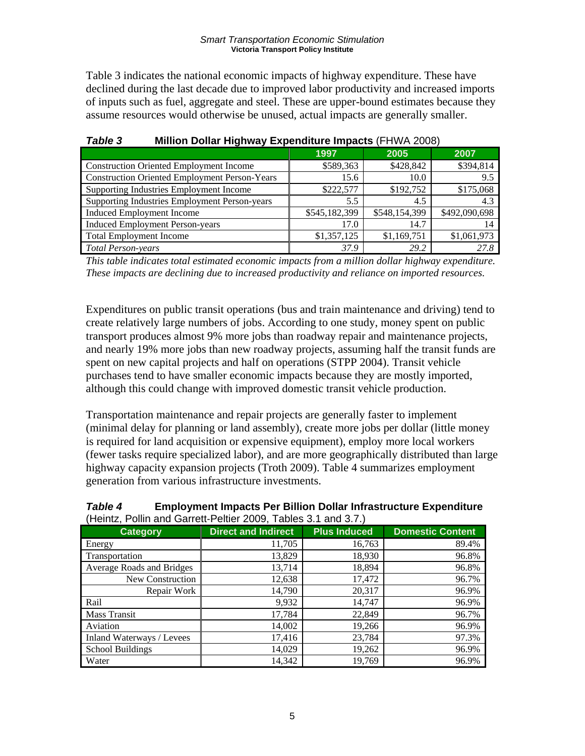Table 3 indicates the national economic impacts of highway expenditure. These have declined during the last decade due to improved labor productivity and increased imports of inputs such as fuel, aggregate and steel. These are upper-bound estimates because they assume resources would otherwise be unused, actual impacts are generally smaller.

| -                                                    |               |               |               |
|------------------------------------------------------|---------------|---------------|---------------|
|                                                      | 1997          | 2005          | 2007          |
| <b>Construction Oriented Employment Income</b>       | \$589,363     | \$428,842     | \$394,814     |
| <b>Construction Oriented Employment Person-Years</b> | 15.6          | 10.0          | 9.5           |
| Supporting Industries Employment Income              | \$222,577     | \$192,752     | \$175,068     |
| Supporting Industries Employment Person-years        | 5.5           | 4.5           | 4.3           |
| <b>Induced Employment Income</b>                     | \$545,182,399 | \$548,154,399 | \$492,090,698 |
| <b>Induced Employment Person-years</b>               | 17.0          | 14.7          |               |
| <b>Total Employment Income</b>                       | \$1,357,125   | \$1,169,751   | \$1,061,973   |
| <b>Total Person-years</b>                            | 37.9          | 29.2          | 27.8          |

## *Table 3* **Million Dollar Highway Expenditure Impacts** (FHWA 2008)

*This table indicates total estimated economic impacts from a million dollar highway expenditure. These impacts are declining due to increased productivity and reliance on imported resources.* 

Expenditures on public transit operations (bus and train maintenance and driving) tend to create relatively large numbers of jobs. According to one study, money spent on public transport produces almost 9% more jobs than roadway repair and maintenance projects, and nearly 19% more jobs than new roadway projects, assuming half the transit funds are spent on new capital projects and half on operations (STPP 2004). Transit vehicle purchases tend to have smaller economic impacts because they are mostly imported, although this could change with improved domestic transit vehicle production.

Transportation maintenance and repair projects are generally faster to implement (minimal delay for planning or land assembly), create more jobs per dollar (little money is required for land acquisition or expensive equipment), employ more local workers (fewer tasks require specialized labor), and are more geographically distributed than large highway capacity expansion projects (Troth 2009). Table 4 summarizes employment generation from various infrastructure investments.

### *Table 4* **Employment Impacts Per Billion Dollar Infrastructure Expenditure**  (Heintz, Pollin and Garrett‐Peltier 2009, Tables 3.1 and 3.7.)

| $\mu$ . To the contract of the contract of the contract of $\mu$ |                            |                     |                         |  |  |
|------------------------------------------------------------------|----------------------------|---------------------|-------------------------|--|--|
| <b>Category</b>                                                  | <b>Direct and Indirect</b> | <b>Plus Induced</b> | <b>Domestic Content</b> |  |  |
| Energy                                                           | 11,705                     | 16,763              | 89.4%                   |  |  |
| Transportation                                                   | 13,829                     | 18,930              | 96.8%                   |  |  |
| Average Roads and Bridges                                        | 13,714                     | 18,894              | 96.8%                   |  |  |
| New Construction                                                 | 12,638                     | 17,472              | 96.7%                   |  |  |
| Repair Work                                                      | 14,790                     | 20,317              | 96.9%                   |  |  |
| Rail                                                             | 9,932                      | 14,747              | 96.9%                   |  |  |
| Mass Transit                                                     | 17,784                     | 22,849              | 96.7%                   |  |  |
| Aviation                                                         | 14,002                     | 19,266              | 96.9%                   |  |  |
| Inland Waterways / Levees                                        | 17,416                     | 23,784              | 97.3%                   |  |  |
| <b>School Buildings</b>                                          | 14,029                     | 19,262              | 96.9%                   |  |  |
| Water                                                            | 14,342                     | 19,769              | 96.9%                   |  |  |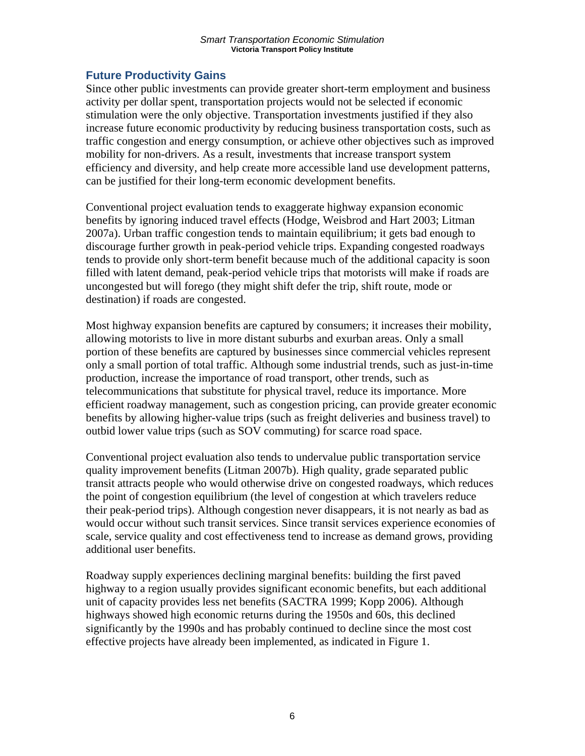## **Future Productivity Gains**

Since other public investments can provide greater short-term employment and business activity per dollar spent, transportation projects would not be selected if economic stimulation were the only objective. Transportation investments justified if they also increase future economic productivity by reducing business transportation costs, such as traffic congestion and energy consumption, or achieve other objectives such as improved mobility for non-drivers. As a result, investments that increase transport system efficiency and diversity, and help create more accessible land use development patterns, can be justified for their long-term economic development benefits.

Conventional project evaluation tends to exaggerate highway expansion economic benefits by ignoring induced travel effects (Hodge, Weisbrod and Hart 2003; Litman 2007a). Urban traffic congestion tends to maintain equilibrium; it gets bad enough to discourage further growth in peak-period vehicle trips. Expanding congested roadways tends to provide only short-term benefit because much of the additional capacity is soon filled with latent demand, peak-period vehicle trips that motorists will make if roads are uncongested but will forego (they might shift defer the trip, shift route, mode or destination) if roads are congested.

Most highway expansion benefits are captured by consumers; it increases their mobility, allowing motorists to live in more distant suburbs and exurban areas. Only a small portion of these benefits are captured by businesses since commercial vehicles represent only a small portion of total traffic. Although some industrial trends, such as just-in-time production, increase the importance of road transport, other trends, such as telecommunications that substitute for physical travel, reduce its importance. More efficient roadway management, such as congestion pricing, can provide greater economic benefits by allowing higher-value trips (such as freight deliveries and business travel) to outbid lower value trips (such as SOV commuting) for scarce road space.

Conventional project evaluation also tends to undervalue public transportation service quality improvement benefits (Litman 2007b). High quality, grade separated public transit attracts people who would otherwise drive on congested roadways, which reduces the point of congestion equilibrium (the level of congestion at which travelers reduce their peak-period trips). Although congestion never disappears, it is not nearly as bad as would occur without such transit services. Since transit services experience economies of scale, service quality and cost effectiveness tend to increase as demand grows, providing additional user benefits.

Roadway supply experiences declining marginal benefits: building the first paved highway to a region usually provides significant economic benefits, but each additional unit of capacity provides less net benefits (SACTRA 1999; Kopp 2006). Although highways showed high economic returns during the 1950s and 60s, this declined significantly by the 1990s and has probably continued to decline since the most cost effective projects have already been implemented, as indicated in Figure 1.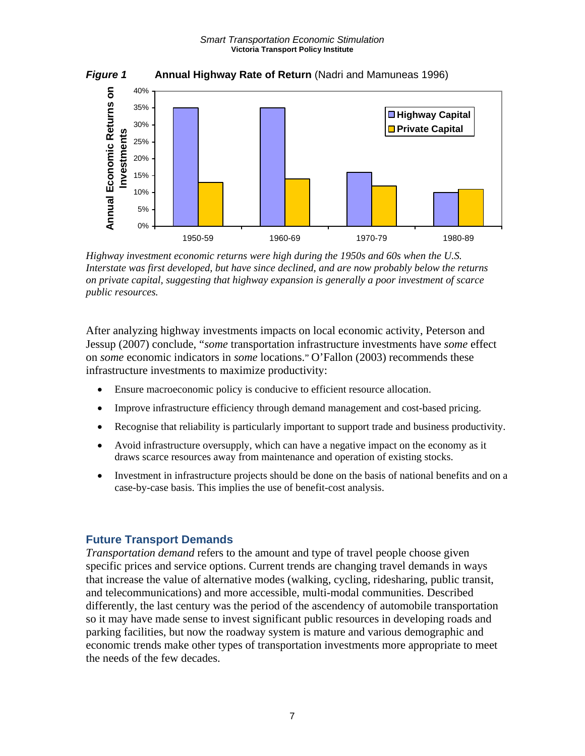

*Highway investment economic returns were high during the 1950s and 60s when the U.S. Interstate was first developed, but have since declined, and are now probably below the returns on private capital, suggesting that highway expansion is generally a poor investment of scarce public resources.* 

After analyzing highway investments impacts on local economic activity, Peterson and Jessup (2007) conclude, "*some* transportation infrastructure investments have *some* effect on *some* economic indicators in *some* locations." O'Fallon (2003) recommends these infrastructure investments to maximize productivity:

- Ensure macroeconomic policy is conducive to efficient resource allocation.
- Improve infrastructure efficiency through demand management and cost-based pricing.
- Recognise that reliability is particularly important to support trade and business productivity.
- Avoid infrastructure oversupply, which can have a negative impact on the economy as it draws scarce resources away from maintenance and operation of existing stocks.
- Investment in infrastructure projects should be done on the basis of national benefits and on a case-by-case basis. This implies the use of benefit-cost analysis.

### **Future Transport Demands**

*Transportation demand* refers to the amount and type of travel people choose given specific prices and service options. Current trends are changing travel demands in ways that increase the value of alternative modes (walking, cycling, ridesharing, public transit, and telecommunications) and more accessible, multi-modal communities. Described differently, the last century was the period of the ascendency of automobile transportation so it may have made sense to invest significant public resources in developing roads and parking facilities, but now the roadway system is mature and various demographic and economic trends make other types of transportation investments more appropriate to meet the needs of the few decades.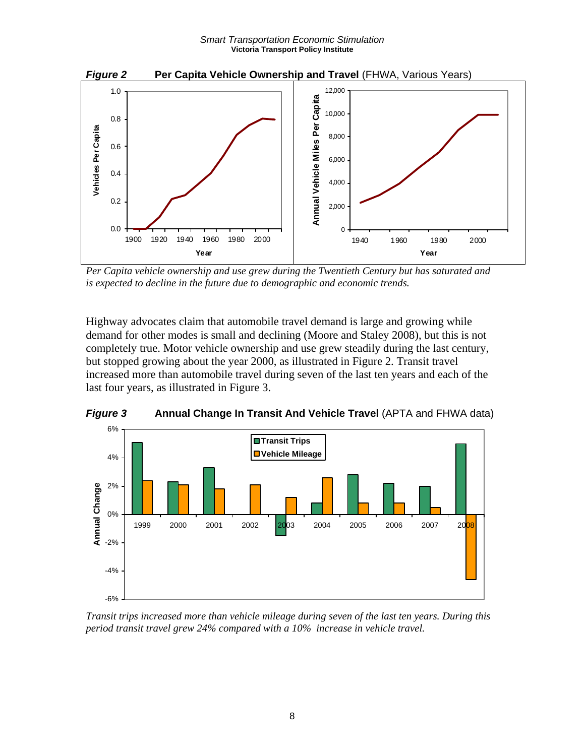

*Per Capita vehicle ownership and use grew during the Twentieth Century but has saturated and is expected to decline in the future due to demographic and economic trends.* 

Highway advocates claim that automobile travel demand is large and growing while demand for other modes is small and declining (Moore and Staley 2008), but this is not completely true. Motor vehicle ownership and use grew steadily during the last century, but stopped growing about the year 2000, as illustrated in Figure 2. Transit travel increased more than automobile travel during seven of the last ten years and each of the last four years, as illustrated in Figure 3.



*Figure 3* **Annual Change In Transit And Vehicle Travel** (APTA and FHWA data)

*Transit trips increased more than vehicle mileage during seven of the last ten years. During this period transit travel grew 24% compared with a 10% increase in vehicle travel.*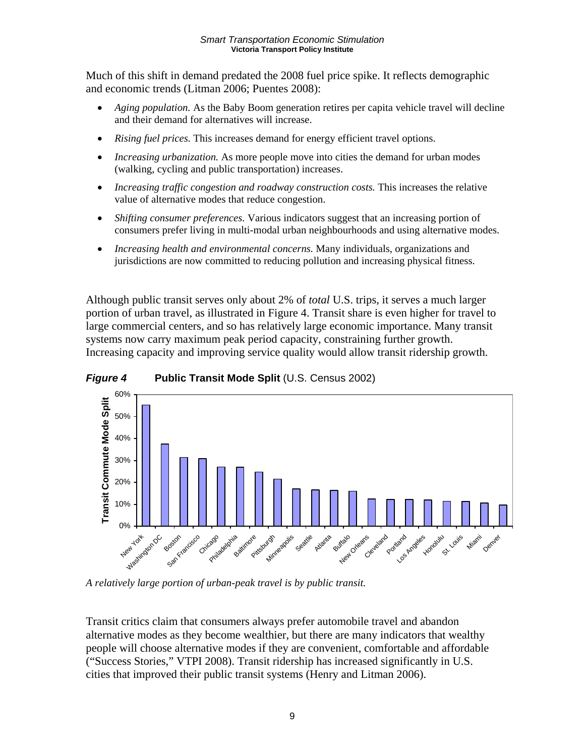Much of this shift in demand predated the 2008 fuel price spike. It reflects demographic and economic trends (Litman 2006; Puentes 2008):

- *Aging population.* As the Baby Boom generation retires per capita vehicle travel will decline and their demand for alternatives will increase.
- *Rising fuel prices.* This increases demand for energy efficient travel options.
- *Increasing urbanization.* As more people move into cities the demand for urban modes (walking, cycling and public transportation) increases.
- *Increasing traffic congestion and roadway construction costs.* This increases the relative value of alternative modes that reduce congestion.
- *Shifting consumer preferences.* Various indicators suggest that an increasing portion of consumers prefer living in multi-modal urban neighbourhoods and using alternative modes.
- *Increasing health and environmental concerns.* Many individuals, organizations and jurisdictions are now committed to reducing pollution and increasing physical fitness.

Although public transit serves only about 2% of *total* U.S. trips, it serves a much larger portion of urban travel, as illustrated in Figure 4. Transit share is even higher for travel to large commercial centers, and so has relatively large economic importance. Many transit systems now carry maximum peak period capacity, constraining further growth. Increasing capacity and improving service quality would allow transit ridership growth.



*Figure 4* **Public Transit Mode Split** (U.S. Census 2002)

*A relatively large portion of urban-peak travel is by public transit.* 

Transit critics claim that consumers always prefer automobile travel and abandon alternative modes as they become wealthier, but there are many indicators that wealthy people will choose alternative modes if they are convenient, comfortable and affordable ("Success Stories," VTPI 2008). Transit ridership has increased significantly in U.S. cities that improved their public transit systems (Henry and Litman 2006).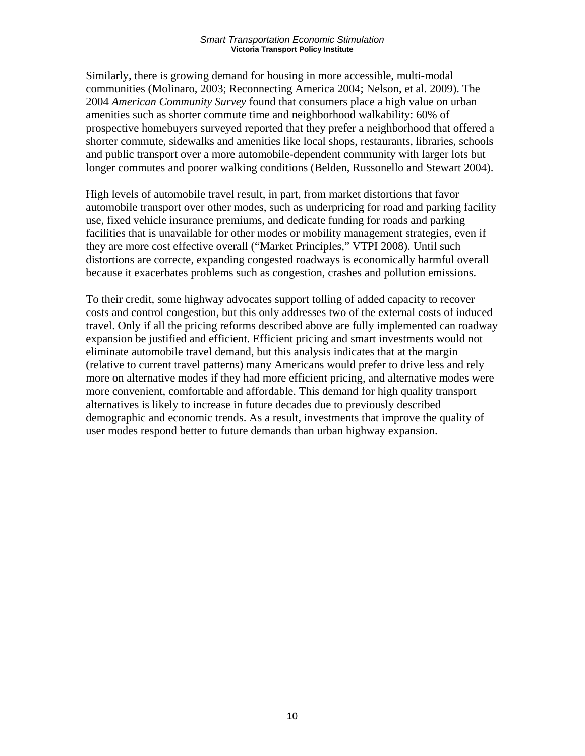Similarly, there is growing demand for housing in more accessible, multi-modal communities (Molinaro, 2003; Reconnecting America 2004; Nelson, et al. 2009). The 2004 *American Community Survey* found that consumers place a high value on urban amenities such as shorter commute time and neighborhood walkability: 60% of prospective homebuyers surveyed reported that they prefer a neighborhood that offered a shorter commute, sidewalks and amenities like local shops, restaurants, libraries, schools and public transport over a more automobile-dependent community with larger lots but longer commutes and poorer walking conditions (Belden, Russonello and Stewart 2004).

High levels of automobile travel result, in part, from market distortions that favor automobile transport over other modes, such as underpricing for road and parking facility use, fixed vehicle insurance premiums, and dedicate funding for roads and parking facilities that is unavailable for other modes or mobility management strategies, even if they are more cost effective overall ("Market Principles," VTPI 2008). Until such distortions are correcte, expanding congested roadways is economically harmful overall because it exacerbates problems such as congestion, crashes and pollution emissions.

To their credit, some highway advocates support tolling of added capacity to recover costs and control congestion, but this only addresses two of the external costs of induced travel. Only if all the pricing reforms described above are fully implemented can roadway expansion be justified and efficient. Efficient pricing and smart investments would not eliminate automobile travel demand, but this analysis indicates that at the margin (relative to current travel patterns) many Americans would prefer to drive less and rely more on alternative modes if they had more efficient pricing, and alternative modes were more convenient, comfortable and affordable. This demand for high quality transport alternatives is likely to increase in future decades due to previously described demographic and economic trends. As a result, investments that improve the quality of user modes respond better to future demands than urban highway expansion.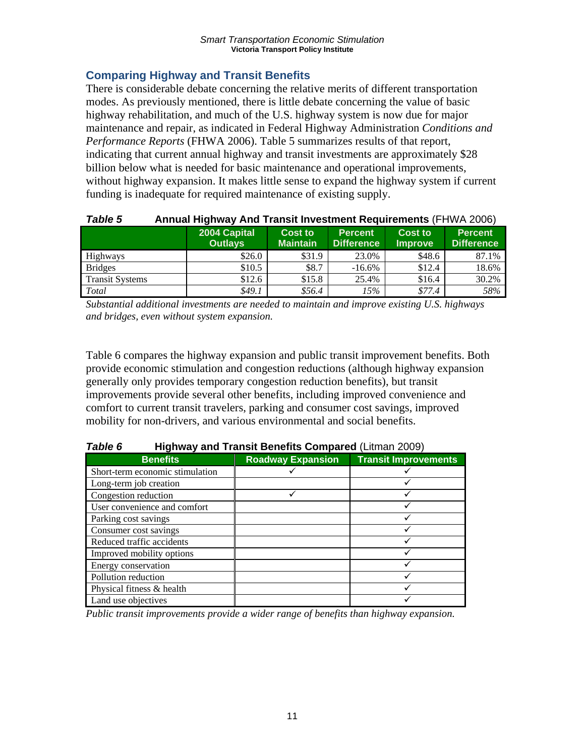## **Comparing Highway and Transit Benefits**

There is considerable debate concerning the relative merits of different transportation modes. As previously mentioned, there is little debate concerning the value of basic highway rehabilitation, and much of the U.S. highway system is now due for major maintenance and repair, as indicated in Federal Highway Administration *Conditions and Performance Reports* (FHWA 2006). Table 5 summarizes results of that report, indicating that current annual highway and transit investments are approximately \$28 billion below what is needed for basic maintenance and operational improvements, without highway expansion. It makes little sense to expand the highway system if current funding is inadequate for required maintenance of existing supply.

| <b>Table 5</b>         | Annual Highway And Transit Investment Requirements (FHWA 2006)                                                                                                                 |        |           |        |       |  |  |  |
|------------------------|--------------------------------------------------------------------------------------------------------------------------------------------------------------------------------|--------|-----------|--------|-------|--|--|--|
|                        | 2004 Capital<br><b>Percent</b><br>Cost to<br><b>Cost to</b><br><b>Percent</b><br><b>Outlays</b><br><b>Maintain</b><br><b>Difference</b><br><b>Difference</b><br><b>Improve</b> |        |           |        |       |  |  |  |
| Highways               | \$26.0                                                                                                                                                                         | \$31.9 | 23.0%     | \$48.6 | 87.1% |  |  |  |
| <b>Bridges</b>         | \$10.5                                                                                                                                                                         | \$8.7  | $-16.6\%$ | \$12.4 | 18.6% |  |  |  |
| <b>Transit Systems</b> | \$12.6                                                                                                                                                                         | \$15.8 | 25.4%     | \$16.4 | 30.2% |  |  |  |
| Total                  | \$49.1                                                                                                                                                                         | \$56.4 | 15%       | \$77.4 | 58%   |  |  |  |

*Substantial additional investments are needed to maintain and improve existing U.S. highways and bridges, even without system expansion.* 

Table 6 compares the highway expansion and public transit improvement benefits. Both provide economic stimulation and congestion reductions (although highway expansion generally only provides temporary congestion reduction benefits), but transit improvements provide several other benefits, including improved convenience and comfort to current transit travelers, parking and consumer cost savings, improved mobility for non-drivers, and various environmental and social benefits.

| Table 6 | <b>Highway and Transit Benefits Compared (Litman 2009)</b> |
|---------|------------------------------------------------------------|
|         |                                                            |

|                                 |                          | ---------------             |
|---------------------------------|--------------------------|-----------------------------|
| <b>Benefits</b>                 | <b>Roadway Expansion</b> | <b>Transit Improvements</b> |
| Short-term economic stimulation |                          |                             |
| Long-term job creation          |                          |                             |
| Congestion reduction            |                          |                             |
| User convenience and comfort    |                          |                             |
| Parking cost savings            |                          |                             |
| Consumer cost savings           |                          |                             |
| Reduced traffic accidents       |                          |                             |
| Improved mobility options       |                          |                             |
| Energy conservation             |                          |                             |
| Pollution reduction             |                          |                             |
| Physical fitness & health       |                          |                             |
| Land use objectives             |                          |                             |

*Public transit improvements provide a wider range of benefits than highway expansion.*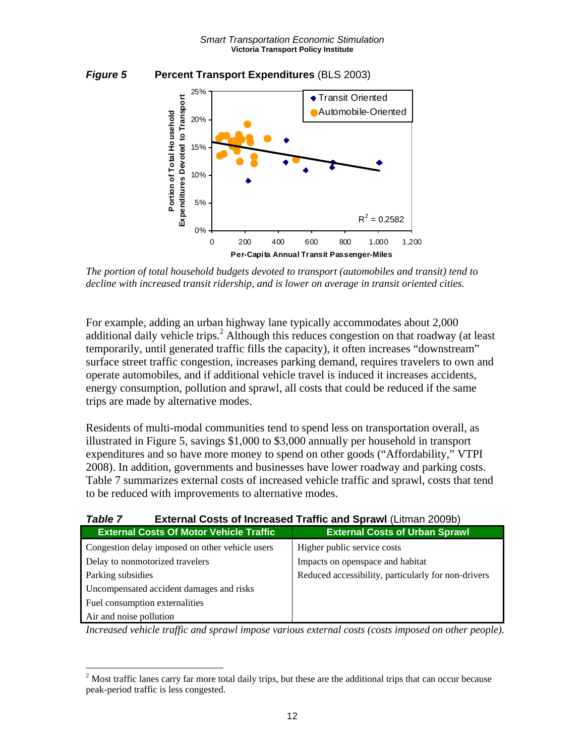



*The portion of total household budgets devoted to transport (automobiles and transit) tend to decline with increased transit ridership, and is lower on average in transit oriented cities.* 

For example, adding an urban highway lane typically accommodates about 2,000 additional daily vehicle trips.<sup>2</sup> Although this reduces congestion on that roadway (at least temporarily, until generated traffic fills the capacity), it often increases "downstream" surface street traffic congestion, increases parking demand, requires travelers to own and operate automobiles, and if additional vehicle travel is induced it increases accidents, energy consumption, pollution and sprawl, all costs that could be reduced if the same trips are made by alternative modes.

Residents of multi-modal communities tend to spend less on transportation overall, as illustrated in Figure 5, savings \$1,000 to \$3,000 annually per household in transport expenditures and so have more money to spend on other goods ("Affordability," VTPI 2008). In addition, governments and businesses have lower roadway and parking costs. Table 7 summarizes external costs of increased vehicle traffic and sprawl, costs that tend to be reduced with improvements to alternative modes.

| TUNIG I<br><b>EXIGHIAI OUSIS OF MUFGASGA TRAME AND ADTAIN (LIMITAL ZUUSU)</b> |                                                     |  |  |
|-------------------------------------------------------------------------------|-----------------------------------------------------|--|--|
| <b>External Costs Of Motor Vehicle Traffic</b>                                | <b>External Costs of Urban Sprawl</b>               |  |  |
| Congestion delay imposed on other vehicle users                               | Higher public service costs                         |  |  |
| Delay to nonmotorized travelers                                               | Impacts on openspace and habitat                    |  |  |
| Parking subsidies                                                             | Reduced accessibility, particularly for non-drivers |  |  |
| Uncompensated accident damages and risks                                      |                                                     |  |  |
| Fuel consumption externalities                                                |                                                     |  |  |
| Air and noise pollution                                                       |                                                     |  |  |

| Table 7 | <b>External Costs of Increased Traffic and Sprawl (Litman 2009b)</b> |  |
|---------|----------------------------------------------------------------------|--|
|         |                                                                      |  |

*Increased vehicle traffic and sprawl impose various external costs (costs imposed on other people).* 

 $\overline{a}$ 

 $2^{2}$  Most traffic lanes carry far more total daily trips, but these are the additional trips that can occur because peak-period traffic is less congested.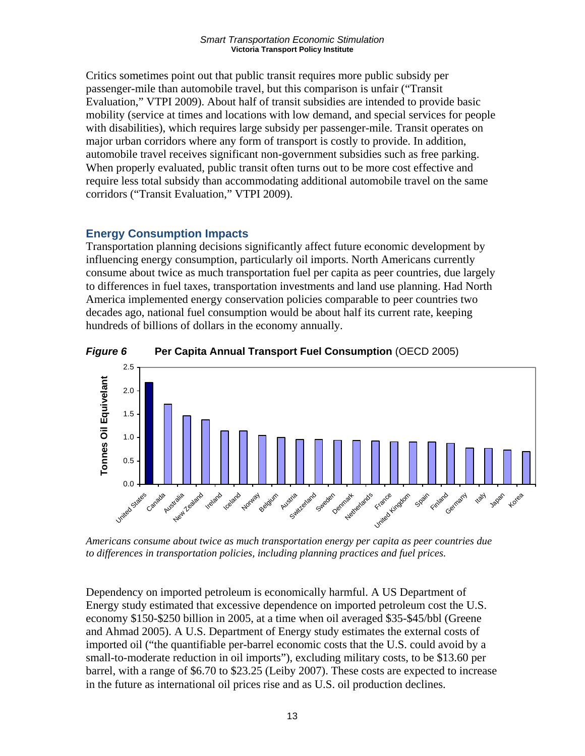Critics sometimes point out that public transit requires more public subsidy per passenger-mile than automobile travel, but this comparison is unfair ("Transit Evaluation," VTPI 2009). About half of transit subsidies are intended to provide basic mobility (service at times and locations with low demand, and special services for people with disabilities), which requires large subsidy per passenger-mile. Transit operates on major urban corridors where any form of transport is costly to provide. In addition, automobile travel receives significant non-government subsidies such as free parking. When properly evaluated, public transit often turns out to be more cost effective and require less total subsidy than accommodating additional automobile travel on the same corridors ("Transit Evaluation," VTPI 2009).

## **Energy Consumption Impacts**

Transportation planning decisions significantly affect future economic development by influencing energy consumption, particularly oil imports. North Americans currently consume about twice as much transportation fuel per capita as peer countries, due largely to differences in fuel taxes, transportation investments and land use planning. Had North America implemented energy conservation policies comparable to peer countries two decades ago, national fuel consumption would be about half its current rate, keeping hundreds of billions of dollars in the economy annually.





*Americans consume about twice as much transportation energy per capita as peer countries due to differences in transportation policies, including planning practices and fuel prices.* 

Dependency on imported petroleum is economically harmful. A US Department of Energy study estimated that excessive dependence on imported petroleum cost the U.S. economy \$150-\$250 billion in 2005, at a time when oil averaged \$35-\$45/bbl (Greene and Ahmad 2005). A U.S. Department of Energy study estimates the external costs of imported oil ("the quantifiable per-barrel economic costs that the U.S. could avoid by a small-to-moderate reduction in oil imports"), excluding military costs, to be \$13.60 per barrel, with a range of \$6.70 to \$23.25 (Leiby 2007). These costs are expected to increase in the future as international oil prices rise and as U.S. oil production declines.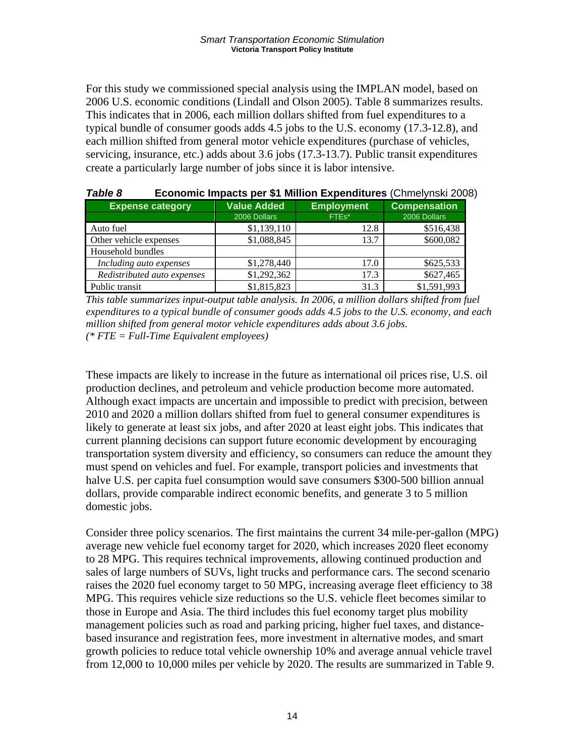For this study we commissioned special analysis using the IMPLAN model, based on 2006 U.S. economic conditions (Lindall and Olson 2005). Table 8 summarizes results. This indicates that in 2006, each million dollars shifted from fuel expenditures to a typical bundle of consumer goods adds 4.5 jobs to the U.S. economy (17.3-12.8), and each million shifted from general motor vehicle expenditures (purchase of vehicles, servicing, insurance, etc.) adds about 3.6 jobs (17.3-13.7). Public transit expenditures create a particularly large number of jobs since it is labor intensive.

| i avic o                    | <b>LCONOMIC IMpacts per \$1 MINION LApenditures</b> (Chinelynski 2000 |                   |                     |  |  |  |  |
|-----------------------------|-----------------------------------------------------------------------|-------------------|---------------------|--|--|--|--|
| <b>Expense category</b>     | <b>Value Added</b>                                                    | <b>Employment</b> | <b>Compensation</b> |  |  |  |  |
|                             | 2006 Dollars                                                          | FTEs*             | 2006 Dollars        |  |  |  |  |
| Auto fuel                   | \$1,139,110                                                           | 12.8              | \$516,438           |  |  |  |  |
| Other vehicle expenses      | \$1,088,845                                                           | 13.7              | \$600,082           |  |  |  |  |
| Household bundles           |                                                                       |                   |                     |  |  |  |  |
| Including auto expenses     | \$1,278,440                                                           | 17.0              | \$625,533           |  |  |  |  |
| Redistributed auto expenses | \$1,292,362                                                           | 17.3              | \$627,465           |  |  |  |  |
| Public transit              | \$1,815,823                                                           | 31.3              | \$1,591,993         |  |  |  |  |

| Table 8 | Economic Impacts per \$1 Million Expenditures (Chmelynski 2008) |  |  |  |
|---------|-----------------------------------------------------------------|--|--|--|
|         |                                                                 |  |  |  |

*This table summarizes input-output table analysis. In 2006, a million dollars shifted from fuel expenditures to a typical bundle of consumer goods adds 4.5 jobs to the U.S. economy, and each million shifted from general motor vehicle expenditures adds about 3.6 jobs. (\* FTE = Full-Time Equivalent employees)* 

These impacts are likely to increase in the future as international oil prices rise, U.S. oil production declines, and petroleum and vehicle production become more automated. Although exact impacts are uncertain and impossible to predict with precision, between 2010 and 2020 a million dollars shifted from fuel to general consumer expenditures is likely to generate at least six jobs, and after 2020 at least eight jobs. This indicates that current planning decisions can support future economic development by encouraging transportation system diversity and efficiency, so consumers can reduce the amount they must spend on vehicles and fuel. For example, transport policies and investments that halve U.S. per capita fuel consumption would save consumers \$300-500 billion annual dollars, provide comparable indirect economic benefits, and generate 3 to 5 million domestic jobs.

Consider three policy scenarios. The first maintains the current 34 mile-per-gallon (MPG) average new vehicle fuel economy target for 2020, which increases 2020 fleet economy to 28 MPG. This requires technical improvements, allowing continued production and sales of large numbers of SUVs, light trucks and performance cars. The second scenario raises the 2020 fuel economy target to 50 MPG, increasing average fleet efficiency to 38 MPG. This requires vehicle size reductions so the U.S. vehicle fleet becomes similar to those in Europe and Asia. The third includes this fuel economy target plus mobility management policies such as road and parking pricing, higher fuel taxes, and distancebased insurance and registration fees, more investment in alternative modes, and smart growth policies to reduce total vehicle ownership 10% and average annual vehicle travel from 12,000 to 10,000 miles per vehicle by 2020. The results are summarized in Table 9.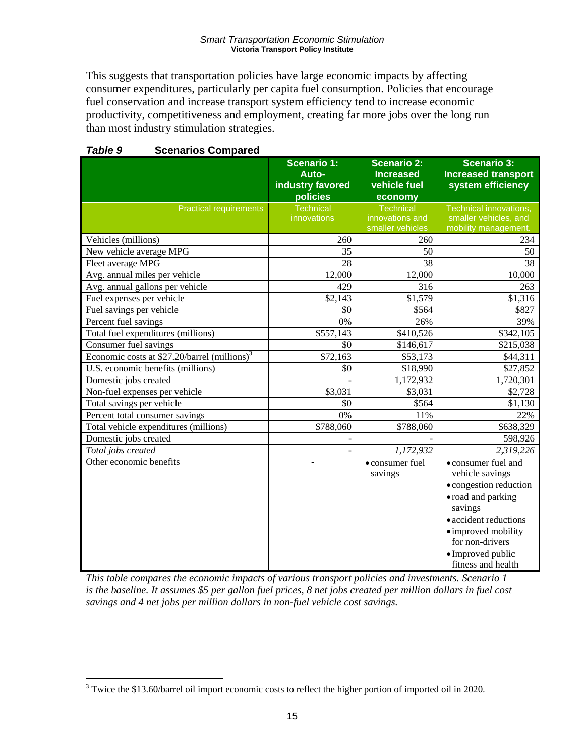This suggests that transportation policies have large economic impacts by affecting consumer expenditures, particularly per capita fuel consumption. Policies that encourage fuel conservation and increase transport system efficiency tend to increase economic productivity, competitiveness and employment, creating far more jobs over the long run than most industry stimulation strategies.

|                                                          | <b>Scenario 1:</b><br>Auto-<br>industry favored<br>policies | <b>Scenario 2:</b><br><b>Increased</b><br>vehicle fuel<br>economy | <b>Scenario 3:</b><br><b>Increased transport</b><br>system efficiency |
|----------------------------------------------------------|-------------------------------------------------------------|-------------------------------------------------------------------|-----------------------------------------------------------------------|
| <b>Practical requirements</b>                            | <b>Technical</b><br>innovations                             | Technical<br>innovations and                                      | <b>Technical innovations,</b><br>smaller vehicles, and                |
|                                                          |                                                             | smaller vehicles                                                  | mobility management.                                                  |
| Vehicles (millions)                                      | 260                                                         | 260                                                               | 234                                                                   |
| New vehicle average MPG                                  | 35                                                          | 50                                                                | 50                                                                    |
| Fleet average MPG                                        | 28                                                          | 38                                                                | 38                                                                    |
| Avg. annual miles per vehicle                            | 12,000                                                      | 12,000                                                            | 10,000                                                                |
| Avg. annual gallons per vehicle                          | 429                                                         | 316                                                               | 263                                                                   |
| Fuel expenses per vehicle                                | $\overline{\$2,143}$                                        | \$1,579                                                           | \$1,316                                                               |
| Fuel savings per vehicle                                 | \$0                                                         | \$564                                                             | \$827                                                                 |
| Percent fuel savings                                     | 0%                                                          | 26%                                                               | 39%                                                                   |
| Total fuel expenditures (millions)                       | \$557,143                                                   | \$410,526                                                         | \$342,105                                                             |
| Consumer fuel savings                                    | \$0                                                         | \$146,617                                                         | \$215,038                                                             |
| Economic costs at \$27.20/barrel (millions) <sup>3</sup> | \$72,163                                                    | \$53,173                                                          | \$44,311                                                              |
| U.S. economic benefits (millions)                        | \$0                                                         | \$18,990                                                          | \$27,852                                                              |
| Domestic jobs created                                    |                                                             | 1,172,932                                                         | 1,720,301                                                             |
| Non-fuel expenses per vehicle                            | \$3,031                                                     | \$3,031                                                           | \$2,728                                                               |
| Total savings per vehicle                                | \$0                                                         | \$564                                                             | \$1,130                                                               |
| Percent total consumer savings                           | 0%                                                          | 11%                                                               | 22%                                                                   |
| Total vehicle expenditures (millions)                    | \$788,060                                                   | \$788,060                                                         | \$638,329                                                             |
| Domestic jobs created                                    |                                                             |                                                                   | 598,926                                                               |
| Total jobs created                                       |                                                             | 1,172,932                                                         | 2,319,226                                                             |
| Other economic benefits                                  |                                                             | • consumer fuel                                                   | • consumer fuel and                                                   |
|                                                          |                                                             | savings                                                           | vehicle savings                                                       |
|                                                          |                                                             |                                                                   | • congestion reduction                                                |
|                                                          |                                                             |                                                                   | • road and parking                                                    |
|                                                          |                                                             |                                                                   | savings                                                               |
|                                                          |                                                             |                                                                   | • accident reductions                                                 |
|                                                          |                                                             |                                                                   | • improved mobility                                                   |
|                                                          |                                                             |                                                                   | for non-drivers                                                       |
|                                                          |                                                             |                                                                   | • Improved public                                                     |
|                                                          |                                                             |                                                                   | fitness and health                                                    |

| <b>Scenarios Compared</b><br><b>Table 9</b> |
|---------------------------------------------|
|---------------------------------------------|

*This table compares the economic impacts of various transport policies and investments. Scenario 1 is the baseline. It assumes \$5 per gallon fuel prices, 8 net jobs created per million dollars in fuel cost savings and 4 net jobs per million dollars in non-fuel vehicle cost savings.* 

<sup>&</sup>lt;sup>3</sup> Twice the \$13.60/barrel oil import economic costs to reflect the higher portion of imported oil in 2020.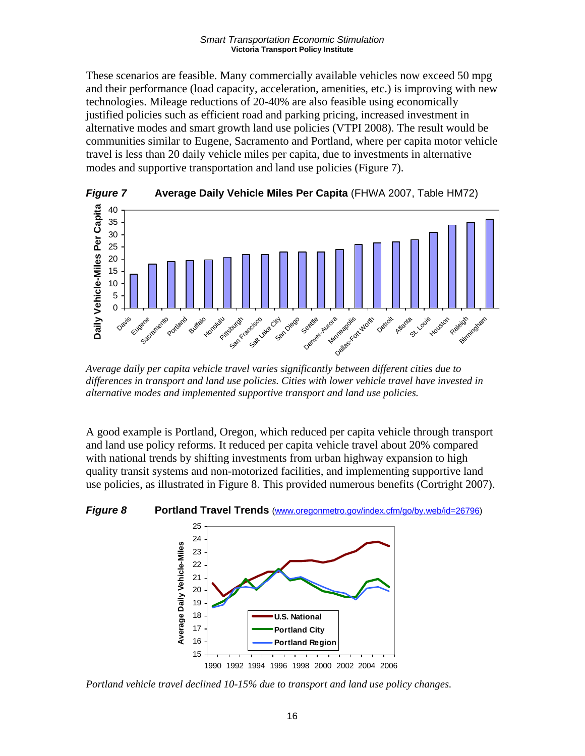These scenarios are feasible. Many commercially available vehicles now exceed 50 mpg and their performance (load capacity, acceleration, amenities, etc.) is improving with new technologies. Mileage reductions of 20-40% are also feasible using economically justified policies such as efficient road and parking pricing, increased investment in alternative modes and smart growth land use policies (VTPI 2008). The result would be communities similar to Eugene, Sacramento and Portland, where per capita motor vehicle travel is less than 20 daily vehicle miles per capita, due to investments in alternative modes and supportive transportation and land use policies (Figure 7).



*Average daily per capita vehicle travel varies significantly between different cities due to differences in transport and land use policies. Cities with lower vehicle travel have invested in alternative modes and implemented supportive transport and land use policies.* 

A good example is Portland, Oregon, which reduced per capita vehicle through transport and land use policy reforms. It reduced per capita vehicle travel about 20% compared with national trends by shifting investments from urban highway expansion to high quality transit systems and non-motorized facilities, and implementing supportive land use policies, as illustrated in Figure 8. This provided numerous benefits (Cortright 2007).

### *Figure 8* **Portland Travel Trends** (www.oregonmetro.gov/index.cfm/go/by.web/id=26796)



*Portland vehicle travel declined 10-15% due to transport and land use policy changes.*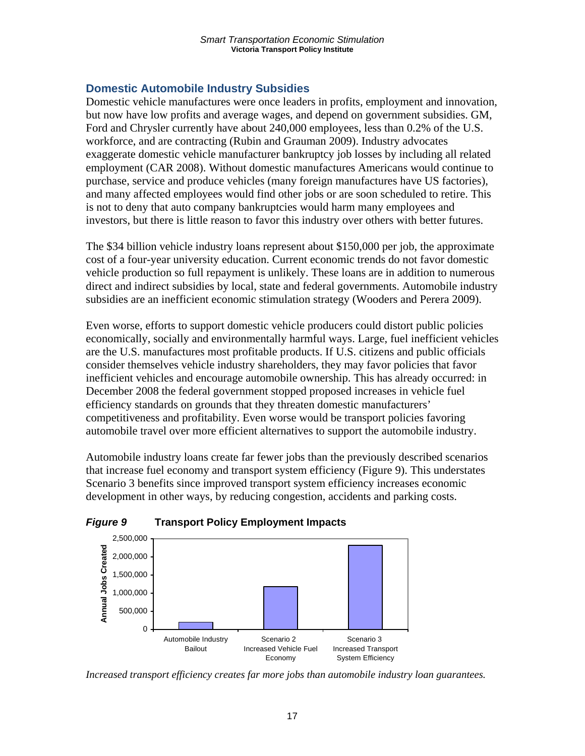## **Domestic Automobile Industry Subsidies**

Domestic vehicle manufactures were once leaders in profits, employment and innovation, but now have low profits and average wages, and depend on government subsidies. GM, Ford and Chrysler currently have about 240,000 employees, less than 0.2% of the U.S. workforce, and are contracting (Rubin and Grauman 2009). Industry advocates exaggerate domestic vehicle manufacturer bankruptcy job losses by including all related employment (CAR 2008). Without domestic manufactures Americans would continue to purchase, service and produce vehicles (many foreign manufactures have US factories), and many affected employees would find other jobs or are soon scheduled to retire. This is not to deny that auto company bankruptcies would harm many employees and investors, but there is little reason to favor this industry over others with better futures.

The \$34 billion vehicle industry loans represent about \$150,000 per job, the approximate cost of a four-year university education. Current economic trends do not favor domestic vehicle production so full repayment is unlikely. These loans are in addition to numerous direct and indirect subsidies by local, state and federal governments. Automobile industry subsidies are an inefficient economic stimulation strategy (Wooders and Perera 2009).

Even worse, efforts to support domestic vehicle producers could distort public policies economically, socially and environmentally harmful ways. Large, fuel inefficient vehicles are the U.S. manufactures most profitable products. If U.S. citizens and public officials consider themselves vehicle industry shareholders, they may favor policies that favor inefficient vehicles and encourage automobile ownership. This has already occurred: in December 2008 the federal government stopped proposed increases in vehicle fuel efficiency standards on grounds that they threaten domestic manufacturers' competitiveness and profitability. Even worse would be transport policies favoring automobile travel over more efficient alternatives to support the automobile industry.

Automobile industry loans create far fewer jobs than the previously described scenarios that increase fuel economy and transport system efficiency (Figure 9). This understates Scenario 3 benefits since improved transport system efficiency increases economic development in other ways, by reducing congestion, accidents and parking costs.



*Figure 9* **Transport Policy Employment Impacts**

*Increased transport efficiency creates far more jobs than automobile industry loan guarantees.*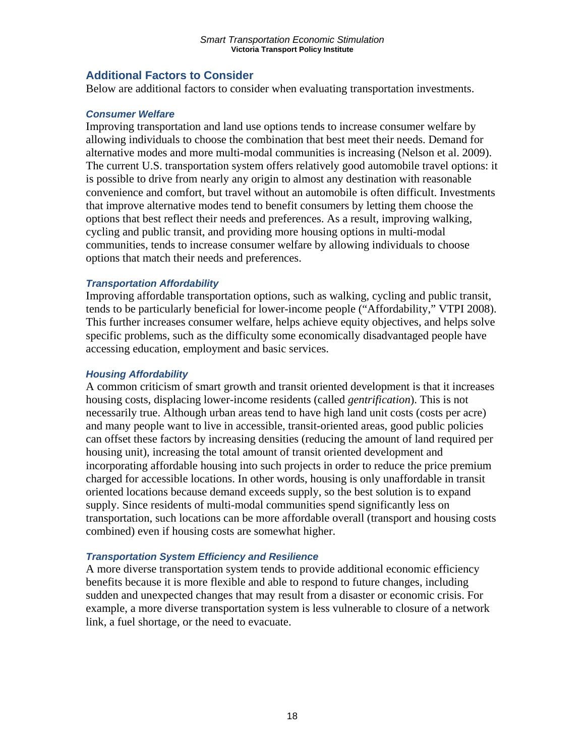### **Additional Factors to Consider**

Below are additional factors to consider when evaluating transportation investments.

### *Consumer Welfare*

Improving transportation and land use options tends to increase consumer welfare by allowing individuals to choose the combination that best meet their needs. Demand for alternative modes and more multi-modal communities is increasing (Nelson et al. 2009). The current U.S. transportation system offers relatively good automobile travel options: it is possible to drive from nearly any origin to almost any destination with reasonable convenience and comfort, but travel without an automobile is often difficult. Investments that improve alternative modes tend to benefit consumers by letting them choose the options that best reflect their needs and preferences. As a result, improving walking, cycling and public transit, and providing more housing options in multi-modal communities, tends to increase consumer welfare by allowing individuals to choose options that match their needs and preferences.

### *Transportation Affordability*

Improving affordable transportation options, such as walking, cycling and public transit, tends to be particularly beneficial for lower-income people ("Affordability," VTPI 2008). This further increases consumer welfare, helps achieve equity objectives, and helps solve specific problems, such as the difficulty some economically disadvantaged people have accessing education, employment and basic services.

### *Housing Affordability*

A common criticism of smart growth and transit oriented development is that it increases housing costs, displacing lower-income residents (called *gentrification*). This is not necessarily true. Although urban areas tend to have high land unit costs (costs per acre) and many people want to live in accessible, transit-oriented areas, good public policies can offset these factors by increasing densities (reducing the amount of land required per housing unit), increasing the total amount of transit oriented development and incorporating affordable housing into such projects in order to reduce the price premium charged for accessible locations. In other words, housing is only unaffordable in transit oriented locations because demand exceeds supply, so the best solution is to expand supply. Since residents of multi-modal communities spend significantly less on transportation, such locations can be more affordable overall (transport and housing costs combined) even if housing costs are somewhat higher.

### *Transportation System Efficiency and Resilience*

A more diverse transportation system tends to provide additional economic efficiency benefits because it is more flexible and able to respond to future changes, including sudden and unexpected changes that may result from a disaster or economic crisis. For example, a more diverse transportation system is less vulnerable to closure of a network link, a fuel shortage, or the need to evacuate.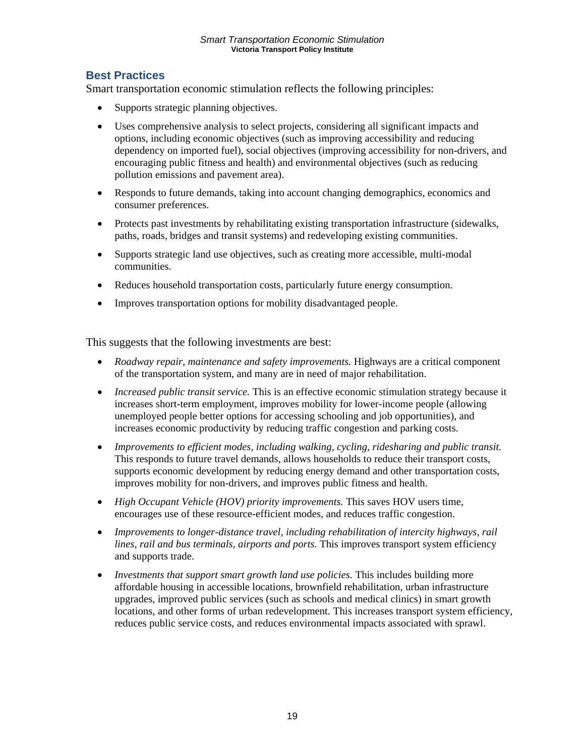## **Best Practices**

Smart transportation economic stimulation reflects the following principles:

- Supports strategic planning objectives.
- Uses comprehensive analysis to select projects, considering all significant impacts and options, including economic objectives (such as improving accessibility and reducing dependency on imported fuel), social objectives (improving accessibility for non-drivers, and encouraging public fitness and health) and environmental objectives (such as reducing pollution emissions and pavement area).
- Responds to future demands, taking into account changing demographics, economics and consumer preferences.
- Protects past investments by rehabilitating existing transportation infrastructure (sidewalks, paths, roads, bridges and transit systems) and redeveloping existing communities.
- Supports strategic land use objectives, such as creating more accessible, multi-modal communities.
- Reduces household transportation costs, particularly future energy consumption.
- Improves transportation options for mobility disadvantaged people.

This suggests that the following investments are best:

- *Roadway repair, maintenance and safety improvements.* Highways are a critical component of the transportation system, and many are in need of major rehabilitation.
- *Increased public transit service*. This is an effective economic stimulation strategy because it increases short-term employment, improves mobility for lower-income people (allowing unemployed people better options for accessing schooling and job opportunities), and increases economic productivity by reducing traffic congestion and parking costs.
- *Improvements to efficient modes, including walking, cycling, ridesharing and public transit.* This responds to future travel demands, allows households to reduce their transport costs, supports economic development by reducing energy demand and other transportation costs, improves mobility for non-drivers, and improves public fitness and health.
- *High Occupant Vehicle (HOV) priority improvements.* This saves HOV users time, encourages use of these resource-efficient modes, and reduces traffic congestion.
- *Improvements to longer-distance travel, including rehabilitation of intercity highways, rail lines, rail and bus terminals, airports and ports.* This improves transport system efficiency and supports trade.
- *Investments that support smart growth land use policies.* This includes building more affordable housing in accessible locations, brownfield rehabilitation, urban infrastructure upgrades, improved public services (such as schools and medical clinics) in smart growth locations, and other forms of urban redevelopment. This increases transport system efficiency, reduces public service costs, and reduces environmental impacts associated with sprawl.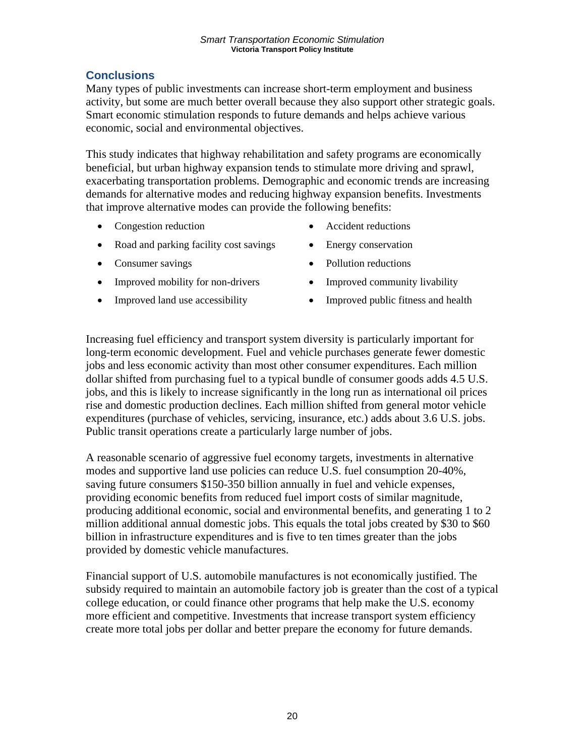## **Conclusions**

Many types of public investments can increase short-term employment and business activity, but some are much better overall because they also support other strategic goals. Smart economic stimulation responds to future demands and helps achieve various economic, social and environmental objectives.

This study indicates that highway rehabilitation and safety programs are economically beneficial, but urban highway expansion tends to stimulate more driving and sprawl, exacerbating transportation problems. Demographic and economic trends are increasing demands for alternative modes and reducing highway expansion benefits. Investments that improve alternative modes can provide the following benefits:

- Congestion reduction
- Road and parking facility cost savings
- Consumer savings
- Improved mobility for non-drivers
- Improved land use accessibility
- Accident reductions
- Energy conservation
- Pollution reductions
- Improved community livability
- Improved public fitness and health

Increasing fuel efficiency and transport system diversity is particularly important for long-term economic development. Fuel and vehicle purchases generate fewer domestic jobs and less economic activity than most other consumer expenditures. Each million dollar shifted from purchasing fuel to a typical bundle of consumer goods adds 4.5 U.S. jobs, and this is likely to increase significantly in the long run as international oil prices rise and domestic production declines. Each million shifted from general motor vehicle expenditures (purchase of vehicles, servicing, insurance, etc.) adds about 3.6 U.S. jobs. Public transit operations create a particularly large number of jobs.

A reasonable scenario of aggressive fuel economy targets, investments in alternative modes and supportive land use policies can reduce U.S. fuel consumption 20-40%, saving future consumers \$150-350 billion annually in fuel and vehicle expenses, providing economic benefits from reduced fuel import costs of similar magnitude, producing additional economic, social and environmental benefits, and generating 1 to 2 million additional annual domestic jobs. This equals the total jobs created by \$30 to \$60 billion in infrastructure expenditures and is five to ten times greater than the jobs provided by domestic vehicle manufactures.

Financial support of U.S. automobile manufactures is not economically justified. The subsidy required to maintain an automobile factory job is greater than the cost of a typical college education, or could finance other programs that help make the U.S. economy more efficient and competitive. Investments that increase transport system efficiency create more total jobs per dollar and better prepare the economy for future demands.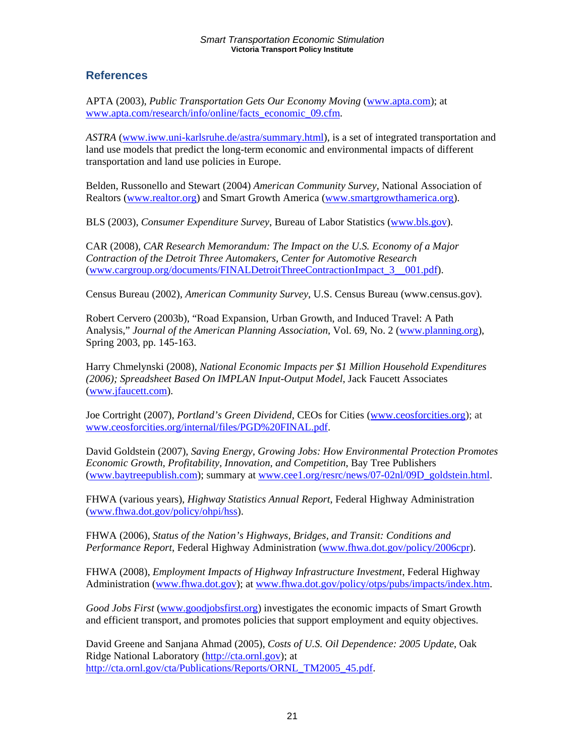### **References**

APTA (2003), *Public Transportation Gets Our Economy Moving* (www.apta.com); at www.apta.com/research/info/online/facts\_economic\_09.cfm.

*ASTRA* (www.iww.uni-karlsruhe.de/astra/summary.html), is a set of integrated transportation and land use models that predict the long-term economic and environmental impacts of different transportation and land use policies in Europe.

Belden, Russonello and Stewart (2004) *American Community Survey*, National Association of Realtors (www.realtor.org) and Smart Growth America (www.smartgrowthamerica.org).

BLS (2003), *Consumer Expenditure Survey*, Bureau of Labor Statistics (www.bls.gov).

CAR (2008), *CAR Research Memorandum: The Impact on the U.S. Economy of a Major Contraction of the Detroit Three Automakers, Center for Automotive Research* (www.cargroup.org/documents/FINALDetroitThreeContractionImpact\_3\_\_001.pdf).

Census Bureau (2002), *American Community Survey*, U.S. Census Bureau (www.census.gov).

Robert Cervero (2003b), "Road Expansion, Urban Growth, and Induced Travel: A Path Analysis," *Journal of the American Planning Association*, Vol. 69, No. 2 (www.planning.org), Spring 2003, pp. 145-163.

Harry Chmelynski (2008), *National Economic Impacts per \$1 Million Household Expenditures (2006); Spreadsheet Based On IMPLAN Input-Output Model*, Jack Faucett Associates (www.jfaucett.com).

Joe Cortright (2007), *Portland's Green Dividend*, CEOs for Cities (www.ceosforcities.org); at www.ceosforcities.org/internal/files/PGD%20FINAL.pdf.

David Goldstein (2007), *Saving Energy, Growing Jobs: How Environmental Protection Promotes Economic Growth, Profitability, Innovation, and Competition*, Bay Tree Publishers (www.baytreepublish.com); summary at www.cee1.org/resrc/news/07-02nl/09D\_goldstein.html.

FHWA (various years), *Highway Statistics Annual Report*, Federal Highway Administration (www.fhwa.dot.gov/policy/ohpi/hss).

FHWA (2006), *Status of the Nation's Highways, Bridges, and Transit: Conditions and Performance Report*, Federal Highway Administration (www.fhwa.dot.gov/policy/2006cpr).

FHWA (2008), *Employment Impacts of Highway Infrastructure Investment*, Federal Highway Administration (www.fhwa.dot.gov); at www.fhwa.dot.gov/policy/otps/pubs/impacts/index.htm.

*Good Jobs First* (www.goodjobsfirst.org) investigates the economic impacts of Smart Growth and efficient transport, and promotes policies that support employment and equity objectives.

David Greene and Sanjana Ahmad (2005), *Costs of U.S. Oil Dependence: 2005 Update*, Oak Ridge National Laboratory (http://cta.ornl.gov); at http://cta.ornl.gov/cta/Publications/Reports/ORNL\_TM2005\_45.pdf.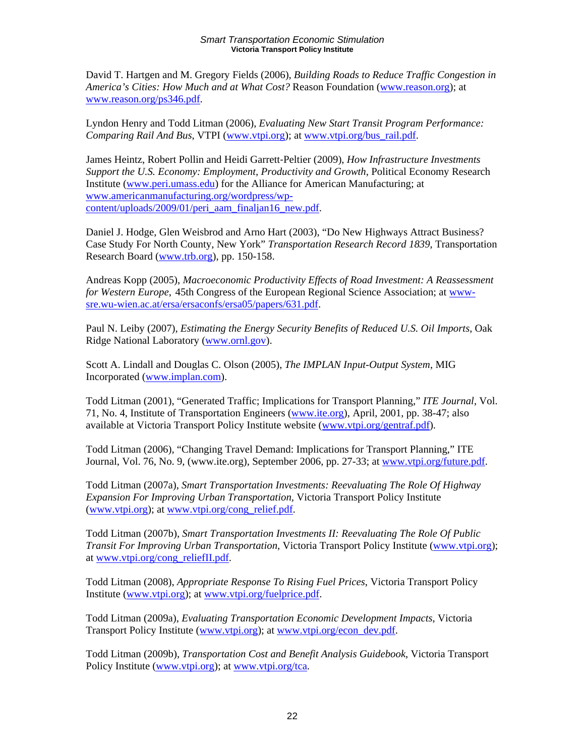David T. Hartgen and M. Gregory Fields (2006), *Building Roads to Reduce Traffic Congestion in America's Cities: How Much and at What Cost?* Reason Foundation (www.reason.org); at www.reason.org/ps346.pdf.

Lyndon Henry and Todd Litman (2006), *Evaluating New Start Transit Program Performance: Comparing Rail And Bus*, VTPI (www.vtpi.org); at www.vtpi.org/bus\_rail.pdf.

James Heintz, Robert Pollin and Heidi Garrett‐Peltier (2009), *How Infrastructure Investments Support the U.S. Economy: Employment, Productivity and Growth*, Political Economy Research Institute (www.peri.umass.edu) for the Alliance for American Manufacturing; at www.americanmanufacturing.org/wordpress/wpcontent/uploads/2009/01/peri\_aam\_finaljan16\_new.pdf.

Daniel J. Hodge, Glen Weisbrod and Arno Hart (2003), "Do New Highways Attract Business? Case Study For North County, New York" *Transportation Research Record 1839*, Transportation Research Board (www.trb.org), pp. 150-158.

Andreas Kopp (2005), *Macroeconomic Productivity Effects of Road Investment: A Reassessment for Western Europe*, 45th Congress of the European Regional Science Association; at wwwsre.wu-wien.ac.at/ersa/ersaconfs/ersa05/papers/631.pdf.

Paul N. Leiby (2007), *Estimating the Energy Security Benefits of Reduced U.S. Oil Imports*, Oak Ridge National Laboratory (www.ornl.gov).

Scott A. Lindall and Douglas C. Olson (2005), *The IMPLAN Input-Output System*, MIG Incorporated (www.implan.com).

Todd Litman (2001), "Generated Traffic; Implications for Transport Planning," *ITE Journal*, Vol. 71, No. 4, Institute of Transportation Engineers (www.ite.org), April, 2001, pp. 38-47; also available at Victoria Transport Policy Institute website (www.vtpi.org/gentraf.pdf).

Todd Litman (2006), "Changing Travel Demand: Implications for Transport Planning," ITE Journal, Vol. 76, No. 9, (www.ite.org), September 2006, pp. 27-33; at www.vtpi.org/future.pdf.

Todd Litman (2007a), *Smart Transportation Investments: Reevaluating The Role Of Highway Expansion For Improving Urban Transportation,* Victoria Transport Policy Institute (www.vtpi.org); at www.vtpi.org/cong\_relief.pdf.

Todd Litman (2007b), *Smart Transportation Investments II: Reevaluating The Role Of Public Transit For Improving Urban Transportation,* Victoria Transport Policy Institute (www.vtpi.org); at www.vtpi.org/cong\_reliefII.pdf.

Todd Litman (2008), *Appropriate Response To Rising Fuel Prices*, Victoria Transport Policy Institute (www.vtpi.org); at www.vtpi.org/fuelprice.pdf.

Todd Litman (2009a), *Evaluating Transportation Economic Development Impacts*, Victoria Transport Policy Institute (www.vtpi.org); at www.vtpi.org/econ\_dev.pdf.

Todd Litman (2009b), *Transportation Cost and Benefit Analysis Guidebook*, Victoria Transport Policy Institute (www.vtpi.org); at www.vtpi.org/tca.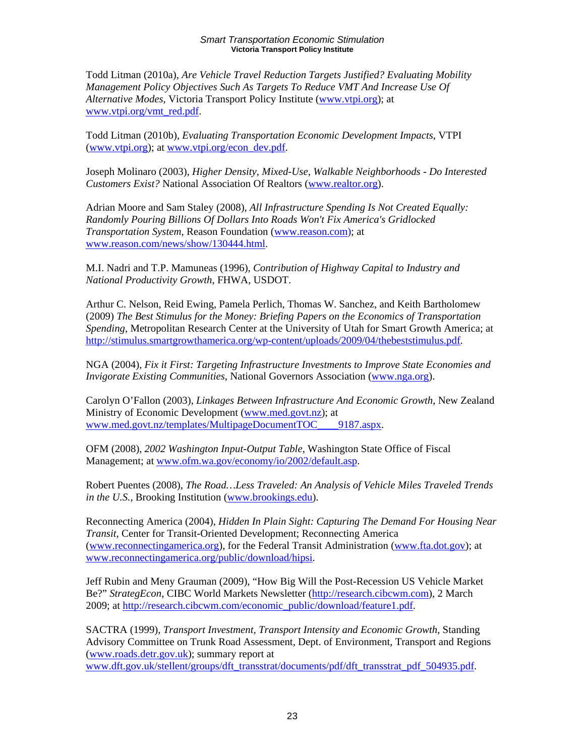Todd Litman (2010a), *Are Vehicle Travel Reduction Targets Justified? Evaluating Mobility Management Policy Objectives Such As Targets To Reduce VMT And Increase Use Of Alternative Modes*, Victoria Transport Policy Institute (www.vtpi.org); at www.vtpi.org/vmt\_red.pdf.

Todd Litman (2010b), *Evaluating Transportation Economic Development Impacts*, VTPI (www.vtpi.org); at www.vtpi.org/econ\_dev.pdf.

Joseph Molinaro (2003), *Higher Density, Mixed-Use, Walkable Neighborhoods - Do Interested Customers Exist?* National Association Of Realtors (www.realtor.org).

Adrian Moore and Sam Staley (2008), *All Infrastructure Spending Is Not Created Equally: Randomly Pouring Billions Of Dollars Into Roads Won't Fix America's Gridlocked Transportation System*, Reason Foundation (www.reason.com); at www.reason.com/news/show/130444.html.

M.I. Nadri and T.P. Mamuneas (1996), *Contribution of Highway Capital to Industry and National Productivity Growth*, FHWA, USDOT.

Arthur C. Nelson, Reid Ewing, Pamela Perlich, Thomas W. Sanchez, and Keith Bartholomew (2009) *The Best Stimulus for the Money: Briefing Papers on the Economics of Transportation Spending*, Metropolitan Research Center at the University of Utah for Smart Growth America; at http://stimulus.smartgrowthamerica.org/wp-content/uploads/2009/04/thebeststimulus.pdf.

NGA (2004), *Fix it First: Targeting Infrastructure Investments to Improve State Economies and Invigorate Existing Communities*, National Governors Association (www.nga.org).

Carolyn O'Fallon (2003), *Linkages Between Infrastructure And Economic Growth*, New Zealand Ministry of Economic Development (www.med.govt.nz); at www.med.govt.nz/templates/MultipageDocumentTOC\_\_\_\_9187.aspx.

OFM (2008), *2002 Washington Input-Output Table*, Washington State Office of Fiscal Management; at www.ofm.wa.gov/economy/io/2002/default.asp.

Robert Puentes (2008), *The Road…Less Traveled: An Analysis of Vehicle Miles Traveled Trends in the U.S.*, Brooking Institution (www.brookings.edu).

Reconnecting America (2004), *Hidden In Plain Sight: Capturing The Demand For Housing Near Transit*, Center for Transit-Oriented Development; Reconnecting America (www.reconnectingamerica.org), for the Federal Transit Administration (www.fta.dot.gov); at www.reconnectingamerica.org/public/download/hipsi.

Jeff Rubin and Meny Grauman (2009), "How Big Will the Post-Recession US Vehicle Market Be?" *StrategEcon*, CIBC World Markets Newsletter (http://research.cibcwm.com), 2 March 2009; at http://research.cibcwm.com/economic\_public/download/feature1.pdf.

SACTRA (1999), *Transport Investment, Transport Intensity and Economic Growth*, Standing Advisory Committee on Trunk Road Assessment, Dept. of Environment, Transport and Regions (www.roads.detr.gov.uk); summary report at www.dft.gov.uk/stellent/groups/dft\_transstrat/documents/pdf/dft\_transstrat\_pdf\_504935.pdf.